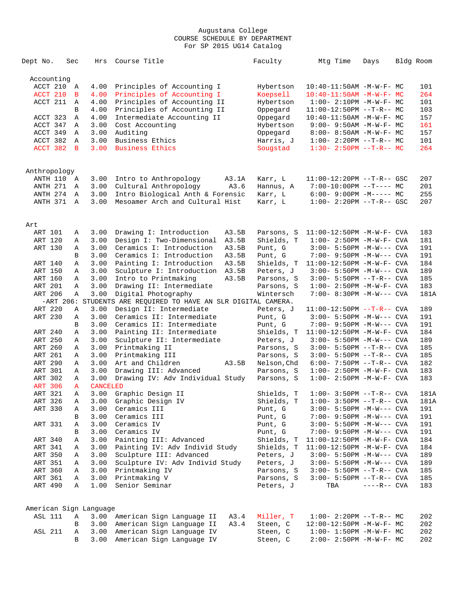| Dept No.           |            | Sec               | Hrs                    | Course Title                                                   | Faculty                  | Mtg Time                                                   | Days         | Bldg Room    |
|--------------------|------------|-------------------|------------------------|----------------------------------------------------------------|--------------------------|------------------------------------------------------------|--------------|--------------|
| Accounting         |            |                   |                        |                                                                |                          |                                                            |              |              |
|                    | ACCT 210 A |                   | 4.00                   | Principles of Accounting I                                     | Hybertson                | $10:40 - 11:50AM$ -M-W-F- MC                               |              | 101          |
|                    | ACCT 210   | B                 | 4.00                   | Principles of Accounting I                                     | Koepsell                 | $10:40 - 11:50AM$ $-M-W-F-MC$                              |              | 264          |
|                    | ACCT 211   | A                 | 4.00                   | Principles of Accounting II                                    | Hybertson                | $1:00-2:10PM -M-W-F-MC$                                    |              | 101          |
|                    |            | B                 | 4.00                   | Principles of Accounting II                                    | Oppegard                 | $11:00-12:50PM$ --T-R-- MC                                 |              | 103          |
|                    | ACCT 323   | Α                 | 4.00                   | Intermediate Accounting II                                     | Oppegard                 | $10:40 - 11:50AM$ -M-W-F- MC                               |              | 157          |
|                    | ACCT 347   | Α                 | 3.00                   | Cost Accounting                                                | Hybertson                | $9:00 - 9:50AM - M - W - F - MC$                           |              | 161          |
|                    | ACCT 349   | $\mathbb{A}$      | 3.00                   | Auditing                                                       | Oppegard                 | $8:00 - 8:50AM - M - W - F - MC$                           |              | 157          |
|                    | ACCT 382   | $\mathbb{A}$      | 3.00                   | Business Ethics                                                | Harris, J                | $1:00 - 2:20PM -T-R-- MC$                                  |              | 101          |
|                    | ACCT 382   | $\mathbf{B}$      | 3.00                   | Business Ethics                                                | Sougstad                 | $1:30 - 2:50PM -T-R-- MC$                                  |              | 264          |
| Anthropology       |            |                   |                        |                                                                |                          |                                                            |              |              |
|                    | ANTH 110 A |                   | 3.00                   | Intro to Anthropology<br>A3.1A                                 | Karr, L                  | $11:00-12:20PM$ --T-R-- GSC                                |              | 207          |
|                    | ANTH 271   | A                 | 3.00                   | Cultural Anthropology<br>A3.6                                  | Hannus, A                | $7:00-10:00PM$ --T---- MC                                  |              | 201          |
|                    | ANTH 274   | A                 | 3.00                   | Intro Biological Anth & Forensic                               | Karr, L                  | $6:00-9:00PM -M--- MC$                                     |              | 255          |
|                    | ANTH 371 A |                   | 3.00                   | Mesoamer Arch and Cultural Hist                                | Karr, L                  | $1:00 - 2:20PM -T-R--$ GSC                                 |              | 207          |
|                    |            |                   |                        |                                                                |                          |                                                            |              |              |
| Art                |            |                   |                        |                                                                |                          |                                                            |              |              |
| ART 101            |            | Α                 | 3.00                   | Drawing I: Introduction<br>A3.5B                               | Parsons, S               | 11:00-12:50PM -M-W-F- CVA                                  |              | 183          |
| ART 120            |            | Α                 | 3.00                   | Design I: Two-Dimensional<br>A3.5B                             | Shields, T               | $1:00 - 2:50PM -M-W-F-CVA$                                 |              | 181          |
| ART 130            |            | Α                 | 3.00                   | Ceramics I: Introduction<br>A3.5B                              | Punt, G                  | $3:00 - 5:50PM -M-W---$ CVA                                |              | 191          |
|                    |            | B                 | 3.00                   | Ceramics I: Introduction<br>A3.5B                              | Punt, G                  | 7:00- 9:50PM -M-W--- CVA                                   |              | 191          |
| ART 140            |            | Α                 | 3.00                   | Painting I: Introduction<br>A3.5B                              | Shields, T               | 11:00-12:50PM -M-W-F- CVA                                  |              | 184          |
| ART 150            |            | Α                 | 3.00                   | Sculpture I: Introduction<br>A3.5B                             | Peters, J                | $3:00 - 5:50PM -M-W---$ CVA                                |              | 189          |
| ART 160            |            | Α                 | 3.00                   | Intro to Printmaking<br>A3.5B                                  | Parsons, S               | $3:00 - 5:50PM -T-R--CVA$                                  |              | 185          |
| ART 201            |            | Α                 | 3.00                   | Drawing II: Intermediate                                       | Parsons, S               | $1:00 - 2:50PM -M-W-F - CVA$                               |              | 183          |
| ART 206            |            | Α                 | 3.00                   | Digital Photography                                            | Wintersch                | 7:00- 8:30PM -M-W--- CVA                                   |              | 181A         |
|                    |            |                   |                        | -ART 206: STUDENTS ARE REQUIRED TO HAVE AN SLR DIGITAL CAMERA. |                          |                                                            |              |              |
| ART 220            |            | Α                 | 3.00                   | Design II: Intermediate                                        | Peters, J                | $11:00-12:50PM$ --T-R-- CVA                                |              | 189          |
| ART 230            |            | Α                 | 3.00                   | Ceramics II: Intermediate                                      | Punt, G                  | $3:00 - 5:50PM -M-W---$ CVA                                |              | 191          |
|                    |            | B                 | 3.00                   | Ceramics II: Intermediate                                      | Punt, G                  | $7:00 - 9:50PM -M-W---$ CVA                                |              | 191          |
| ART 240            |            | Α                 | 3.00                   | Painting II: Intermediate                                      | Shields, T               | $11:00-12:50PM -M-W-F-CVA$                                 |              | 184          |
| ART 250            |            | Α                 | 3.00                   | Sculpture II: Intermediate                                     | Peters, J                | $3:00 - 5:50PM -M-W---$ CVA                                |              | 189          |
| ART 260<br>ART 261 |            | Α                 | 3.00<br>3.00           | Printmaking II<br>Printmaking III                              | Parsons, S               | 3:00- 5:50PM --T-R-- CVA                                   |              | 185          |
|                    |            | Α                 |                        |                                                                | Parsons, S               | $3:00 - 5:50PM -T-R--CVA$                                  |              | 185          |
| ART 290<br>ART 301 |            | Α                 | 3.00<br>3.00           | Art and Children<br>A3.5B<br>Drawing III: Advanced             | Nelson, Chd              | $6:00 - 7:50PM -T-R--CVA$<br>$1:00 - 2:50PM -M-W-F-CVA$    |              | 182<br>183   |
| ART 302            |            | Α                 | 3.00                   |                                                                | Parsons, S<br>Parsons, S | $1:00 - 2:50PM -M-W-F-CVA$                                 |              | 183          |
| <b>ART 306</b>     |            | Α<br>$\mathbf{A}$ | <b>CANCELED</b>        | Drawing IV: Adv Individual Study                               |                          |                                                            |              |              |
| ART 321            |            |                   |                        |                                                                |                          |                                                            |              |              |
| ART 326            |            | $\mathbb A$       |                        | 3.00 Graphic Design II<br>3.00 Graphic Design IV               | Shields, T<br>Shields, T | $1:00-3:50PM -T-R--CVA$<br>$1:00-3:50PM -T-R--CVA$         |              | 181A<br>181A |
| ART 330            |            | А                 |                        | 3.00 Ceramics III                                              |                          |                                                            |              |              |
|                    |            | Α                 | 3.00                   | Ceramics III                                                   | Punt, G<br>Punt, G       | $3:00 - 5:50PM -M-W---$ CVA                                |              | 191<br>191   |
| ART 331            |            | в                 |                        | Ceramics IV                                                    |                          | $7:00-9:50PM -M-W---$ CVA                                  |              |              |
|                    |            | Α<br>В            | 3.00<br>3.00           | Ceramics IV                                                    | Punt, G<br>Punt, G       | $3:00 - 5:50PM -M-W---$ CVA<br>$7:00 - 9:50PM -M-W---$ CVA |              | 191<br>191   |
| ART 340            |            |                   | 3.00                   | Painting III: Advanced                                         | Shields, T               | 11:00-12:50PM -M-W-F- CVA                                  |              | 184          |
|                    |            | Α                 |                        |                                                                |                          | 11:00-12:50PM -M-W-F- CVA                                  |              |              |
| ART 341            |            | Α                 | 3.00                   | Painting IV: Adv Individ Study<br>Sculpture III: Advanced      | Shields, T               |                                                            |              | 184          |
| ART 350            |            | Α                 | 3.00                   |                                                                | Peters, J                | $3:00 - 5:50PM -M-W---$ CVA                                |              | 189          |
| ART 351            |            | Α                 | 3.00                   | Sculpture IV: Adv Individ Study<br>Printmaking IV              | Peters, J<br>Parsons, S  | $3:00 - 5:50PM -M-W---$ CVA                                |              | 189          |
| ART 360            |            | Α                 | 3.00                   |                                                                |                          | $3:00 - 5:50PM -T-R--CVA$<br>$3:00 - 5:50PM -T-R--CVA$     |              | 185          |
| ART 361<br>ART 490 |            | Α<br>Α            | 3.00<br>1.00           | Printmaking V<br>Senior Seminar                                | Parsons, S<br>Peters, J  | TBA                                                        | $---R--$ CVA | 185<br>183   |
|                    |            |                   |                        |                                                                |                          |                                                            |              |              |
|                    |            |                   | American Sign Language |                                                                |                          |                                                            |              |              |
| ASL 111            |            | Α                 |                        | 3.00 American Sign Language II<br>A3.4                         | Miller, T                | $1:00-2:20PM -T-R--MC$                                     |              | 202          |
|                    |            | В                 |                        | 3.00 American Sign Language II<br>A3.4                         | Steen, C                 | 12:00-12:50PM -M-W-F- MC                                   |              | 202          |
| <b>ASL 211</b>     |            | Α                 |                        | 3.00 American Sign Language IV                                 | Steen, C                 | $1:00 - 1:50PM - M - W - F - MC$                           |              | 202          |

B 3.00 American Sign Language IV Steen, C 2:00- 2:50PM -M-W-F- MC 202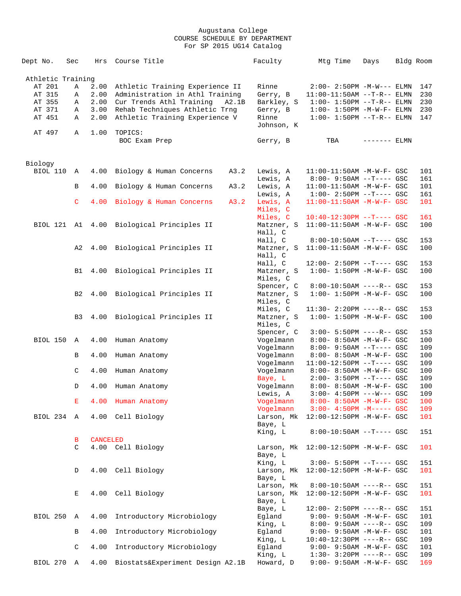| Dept No.          | Sec          | Hrs             | Course Title                              | Faculty    | Mtg Time                          | Days         | Bldg Room |         |
|-------------------|--------------|-----------------|-------------------------------------------|------------|-----------------------------------|--------------|-----------|---------|
| Athletic Training |              |                 |                                           |            |                                   |              |           |         |
| AT 201            | Α            | 2.00            | Athletic Training Experience II           | Rinne      | $2:00 - 2:50PM -M-W---$ ELMN      |              |           | 147     |
| AT 315            | Α            | 2.00            | Administration in Athl Training           | Gerry, B   | $11:00-11:50AM$ --T-R-- ELMN      |              |           | 230     |
|                   |              |                 |                                           |            |                                   |              |           |         |
| AT 355            | Α            | 2.00            | Cur Trends Athl Training<br>A2.1B         | Barkley, S | $1:00 - 1:50PM -T-R-- ELMN$       |              |           | 230     |
| AT 371            | Α            | 3.00            | Rehab Techniques Athletic Trng            | Gerry, B   | $1:00-1:50PM -M-W-F-ELM$ N        |              |           | 230     |
| AT 451            | Α            | 2.00            | Athletic Training Experience V            | Rinne      | $1:00 - 1:50PM -T-R-- ELMN$       |              |           | 147     |
|                   |              |                 |                                           | Johnson, K |                                   |              |           |         |
| AT 497            | Α            | 1.00            | TOPICS:                                   |            |                                   |              |           |         |
|                   |              |                 | BOC Exam Prep                             | Gerry, B   | TBA                               | $------ELMN$ |           |         |
|                   |              |                 |                                           |            |                                   |              |           |         |
|                   |              |                 |                                           |            |                                   |              |           |         |
| Biology           |              |                 |                                           |            |                                   |              |           |         |
| BIOL 110          | Α            | 4.00            | Biology & Human Concerns<br>A3.2          | Lewis, A   | $11:00-11:50AM$ -M-W-F- GSC       |              |           | 101     |
|                   |              |                 |                                           | Lewis, A   | $8:00 - 9:50AM -T--- GSC$         |              |           | 161     |
|                   | В            | 4.00            | Biology & Human Concerns<br>A3.2          | Lewis, A   | $11:00-11:50AM$ -M-W-F- GSC       |              |           | 101     |
|                   |              |                 |                                           | Lewis, A   | $1:00-2:50PM$ --T---- GSC         |              |           | 161     |
|                   | $\mathsf{C}$ | 4.00            | A3.2<br>Biology & Human Concerns          | Lewis, A   | $11:00-11:50AM$ -M-W-F- GSC       |              |           | 101     |
|                   |              |                 |                                           |            |                                   |              |           |         |
|                   |              |                 |                                           | Miles, C   |                                   |              |           |         |
|                   |              |                 |                                           | Miles, C   | $10:40-12:30PM$ --T---- GSC       |              |           | 161     |
|                   |              |                 | BIOL 121 A1 4.00 Biological Principles II | Matzner, S | 11:00-11:50AM -M-W-F- GSC         |              |           | 100     |
|                   |              |                 |                                           | Hall, C    |                                   |              |           |         |
|                   |              |                 |                                           | Hall, C    | $8:00-10:50AM$ --T---- GSC        |              |           | 153     |
|                   | A2           | 4.00            | Biological Principles II                  | Matzner, S | $11:00-11:50AM$ -M-W-F- GSC       |              |           | 100     |
|                   |              |                 |                                           | Hall, C    |                                   |              |           |         |
|                   |              |                 |                                           |            |                                   |              |           |         |
|                   |              |                 |                                           | Hall, C    | $12:00 - 2:50PM -T--- GSC$        |              |           | 153     |
|                   | B1           |                 | 4.00 Biological Principles II             | Matzner, S | $1:00 - 1:50PM - M - W - F - GSC$ |              |           | 100     |
|                   |              |                 |                                           | Miles, C   |                                   |              |           |         |
|                   |              |                 |                                           | Spencer, C | $8:00-10:50AM$ ----R-- GSC        |              |           | 153     |
|                   | B2           |                 | 4.00 Biological Principles II             | Matzner, S | $1:00 - 1:50PM - M - W - F - GSC$ |              |           | 100     |
|                   |              |                 |                                           | Miles, C   |                                   |              |           |         |
|                   |              |                 |                                           |            |                                   |              |           |         |
|                   |              |                 |                                           | Miles, C   | 11:30- 2:20PM ----R-- GSC         |              |           | 153     |
|                   | B3           | 4.00            | Biological Principles II                  | Matzner, S | $1:00 - 1:50PM - M - W - F - GSC$ |              |           | 100     |
|                   |              |                 |                                           | Miles, C   |                                   |              |           |         |
|                   |              |                 |                                           | Spencer, C | $3:00 - 5:50PM$ ----R-- GSC       |              |           | 153     |
| BIOL 150          | A            | 4.00            | Human Anatomy                             | Vogelmann  | 8:00- 8:50AM -M-W-F- GSC          |              |           | 100     |
|                   |              |                 |                                           | Vogelmann  | $8:00 - 9:50AM -T--- GSC$         |              |           | 109     |
|                   |              |                 |                                           |            |                                   |              |           |         |
|                   | В            | 4.00            | Human Anatomy                             | Vogelmann  | 8:00- 8:50AM -M-W-F- GSC          |              |           | 100     |
|                   |              |                 |                                           | Vogelmann  | $11:00-12:50PM$ --T---- GSC       |              |           | 109     |
|                   | C            | 4.00            | Human Anatomy                             | Vogelmann  | $8:00 - 8:50AM - M - W - F - GSC$ |              |           | 100     |
|                   |              |                 |                                           | Baye, L    | $2:00 - 3:50PM -T--- GSC$         |              |           | 109     |
|                   | D            | 4.00            | Human Anatomy                             | Vogelmann  | 8:00- 8:50AM -M-W-F- GSC          |              |           | 100     |
|                   |              |                 |                                           | Lewis, A   | $3:00-4:50PM$ ---W--- GSC         |              |           | 109     |
|                   | Е            | 4.00            | Human Anatomy                             | Vogelmann  | 8:00- 8:50AM -M-W-F- GSC          |              |           | 100     |
|                   |              |                 |                                           |            |                                   |              |           |         |
|                   |              |                 |                                           | Vogelmann  | $3:00 - 4:50PM - M--- GSC$        |              |           | 109     |
| BIOL 234 A        |              | 4.00            | Cell Biology                              | Larson, Mk | 12:00-12:50PM -M-W-F- GSC         |              |           | 101     |
|                   |              |                 |                                           | Baye, L    |                                   |              |           |         |
|                   |              |                 |                                           | King, L    | $8:00-10:50AM$ --T---- GSC        |              |           | 151     |
|                   | В            | <b>CANCELED</b> |                                           |            |                                   |              |           |         |
|                   | C            |                 | 4.00 Cell Biology                         | Larson, Mk | 12:00-12:50PM -M-W-F- GSC         |              |           | 101     |
|                   |              |                 |                                           |            |                                   |              |           |         |
|                   |              |                 |                                           | Baye, L    |                                   |              |           |         |
|                   |              |                 |                                           | King, L    | $3:00 - 5:50PM -T--- GSC$         |              |           | 151     |
|                   | D            |                 | 4.00 Cell Biology                         | Larson, Mk | 12:00-12:50PM -M-W-F- GSC         |              |           | 101     |
|                   |              |                 |                                           | Baye, L    |                                   |              |           |         |
|                   |              |                 |                                           | Larson, Mk | $8:00-10:50AM$ ----R-- GSC        |              |           | 151     |
|                   | Е            | 4.00            | Cell Biology                              | Larson, Mk | 12:00-12:50PM -M-W-F- GSC         |              |           | 101     |
|                   |              |                 |                                           | Baye, L    |                                   |              |           |         |
|                   |              |                 |                                           |            |                                   |              |           |         |
|                   |              |                 |                                           | Baye, L    | $12:00 - 2:50PM$ ----R-- GSC      |              |           | $151\,$ |
| BIOL 250          | A            | 4.00            | Introductory Microbiology                 | Eqland     | 9:00- 9:50AM -M-W-F- GSC          |              |           | 101     |
|                   |              |                 |                                           | King, L    | $8:00 - 9:50AM$ ----R-- GSC       |              |           | 109     |
|                   | В            | 4.00            | Introductory Microbiology                 | Egland     | 9:00- 9:50AM -M-W-F- GSC          |              |           | 101     |
|                   |              |                 |                                           | King, L    | $10:40-12:30PM$ ----R-- GSC       |              |           | 109     |
|                   | C            | 4.00            | Introductory Microbiology                 | Egland     | $9:00 - 9:50AM - M - W - F - GSC$ |              |           | 101     |
|                   |              |                 |                                           |            |                                   |              |           |         |
|                   |              |                 |                                           | King, L    | $1:30 - 3:20PM$ ----R-- GSC       |              |           | 109     |
| BIOL 270 A        |              | 4.00            | Biostats&Experiment Design A2.1B          | Howard, D  | 9:00- 9:50AM -M-W-F- GSC          |              |           | 169     |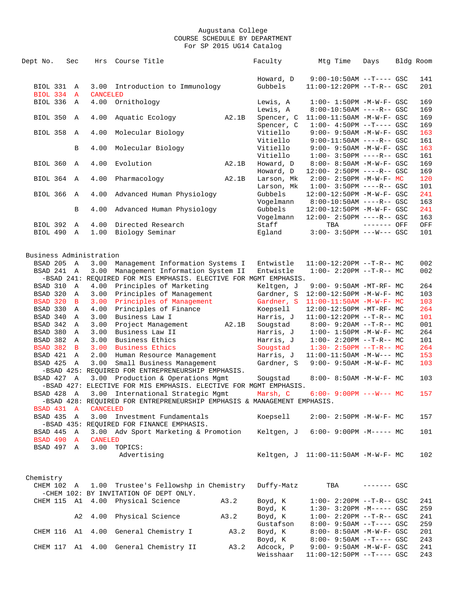| Dept No.                    | Sec               | Hrs                     | Course Title                                                                                          |       | Faculty                 | Mtg Time                                                         | Days         | Bldg Room  |
|-----------------------------|-------------------|-------------------------|-------------------------------------------------------------------------------------------------------|-------|-------------------------|------------------------------------------------------------------|--------------|------------|
|                             |                   |                         |                                                                                                       |       | Howard, D               | $9:00-10:50AM$ --T---- GSC                                       |              | 141        |
| BIOL 331<br><b>BIOL 334</b> | A<br>$\mathbf{A}$ | 3.00<br><b>CANCELED</b> | Introduction to Immunology                                                                            |       | Gubbels                 | 11:00-12:20PM --T-R-- GSC                                        |              | 201        |
| BIOL 336                    | A                 | 4.00                    | Ornithology                                                                                           |       | Lewis, A                | $1:00 - 1:50PM - M - W - F - GSC$                                |              | 169        |
| BIOL 350                    | A                 | 4.00                    | Aquatic Ecology                                                                                       | A2.1B | Lewis, A<br>Spencer, C  | $8:00-10:50AM$ ----R-- GSC<br>$11:00-11:50AM$ -M-W-F- GSC        |              | 169<br>169 |
| <b>BIOL 358</b>             | A                 | 4.00                    | Molecular Biology                                                                                     |       | Spencer, C<br>Vitiello  | $1:00-4:50PM --T---GSC$<br>9:00- 9:50AM -M-W-F- GSC              |              | 169<br>163 |
|                             |                   |                         |                                                                                                       |       | Vitiello                | $9:00-11:50AM$ ----R-- GSC                                       |              | 161        |
|                             | B                 | 4.00                    | Molecular Biology                                                                                     |       | Vitiello<br>Vitiello    | $9:00 - 9:50AM - M - W - F - GSC$<br>$1:00 - 3:50PM$ ----R-- GSC |              | 163<br>161 |
| BIOL 360                    | A                 | 4.00                    | Evolution                                                                                             | A2.1B | Howard, D               | 8:00- 8:50AM -M-W-F- GSC                                         |              | 169        |
| BIOL 364 A                  |                   | 4.00                    | Pharmacology                                                                                          | A2.1B | Howard, D<br>Larson, Mk | $12:00 - 2:50PM$ ----R-- GSC<br>$2:00-2:50PM -M-W-F-MC$          |              | 169<br>120 |
| <b>BIOL 366</b>             | $\mathbb A$       | 4.00                    | Advanced Human Physiology                                                                             |       | Larson, Mk<br>Gubbels   | $1:00 - 3:50PM$ ----R-- GSC<br>12:00-12:50PM -M-W-F- GSC         |              | 101<br>241 |
|                             |                   |                         |                                                                                                       |       | Vogelmann               | $8:00-10:50AM$ ----R-- GSC                                       |              | 163        |
|                             | В                 | 4.00                    | Advanced Human Physiology                                                                             |       | Gubbels<br>Vogelmann    | 12:00-12:50PM -M-W-F- GSC<br>12:00- 2:50PM ----R-- GSC           |              | 241<br>163 |
| BIOL 392                    | A                 | 4.00                    | Directed Research                                                                                     |       | Staff                   | TBA                                                              | $------$ OFF | OFF        |
| BIOL 490 A                  |                   | 1.00                    | Biology Seminar                                                                                       |       | Egland                  | $3:00 - 3:50PM$ ---W--- GSC                                      |              | 101        |
| Business Administration     |                   |                         |                                                                                                       |       |                         |                                                                  |              |            |
| BSAD 205 A                  |                   | 3.00                    | Management Information Systems I                                                                      |       | Entwistle               | $11:00-12:20PM$ --T-R-- MC                                       |              | 002        |
| BSAD 241 A                  |                   | 3.00                    | Management Information System II<br>-BSAD 241: REQUIRED FOR MIS EMPHASIS. ELECTIVE FOR MGMT EMPHASIS. |       | Entwistle               | $1:00-2:20PM -T-R--MC$                                           |              | 002        |
| BSAD 310 A                  |                   | 4.00                    | Principles of Marketing                                                                               |       | Keltgen, J              | 9:00- 9:50AM -MT-RF- MC                                          |              | 264        |
| BSAD 320                    | $\mathbb A$       | 3.00                    | Principles of Management                                                                              |       | Gardner, S              | $12:00-12:50PM -M-W-F-MC$                                        |              | 103        |
| BSAD 320                    | $\overline{B}$    | 3.00                    | Principles of Management                                                                              |       | Gardner, S              | $11:00-11:50AM$ -M-W-F- MC                                       |              | 103        |
| BSAD 330                    | A                 | 4.00                    | Principles of Finance                                                                                 |       | Koepsell                | 12:00-12:50PM -MT-RF- MC                                         |              | 264        |
| BSAD 340                    | A                 | 3.00                    | Business Law I                                                                                        |       | Harris, J               | $11:00-12:20PM$ --T-R-- MC                                       |              | 101        |
| BSAD 342                    | $\mathbb A$       | 3.00                    | Project Management                                                                                    | A2.1B | Sougstad                | $8:00 - 9:20AM -T-R-- MC$                                        |              | 001        |
| BSAD 380                    | A                 | 3.00                    | Business Law II                                                                                       |       | Harris, J               | $1:00 - 1:50PM - M - W - F - MC$                                 |              | 264        |
| BSAD 382                    | $\overline{A}$    | 3.00                    | Business Ethics                                                                                       |       | Harris, J               | $1:00-2:20PM -T-R--MC$                                           |              | 101        |
| <b>BSAD 382</b>             | $\overline{B}$    | 3.00                    | <b>Business Ethics</b>                                                                                |       | Sougstad                | $1:30 - 2:50PM -T-R-- MC$                                        |              | 264        |
| BSAD 421                    | A                 | 2.00                    | Human Resource Management                                                                             |       | Harris, J               | $11:00-11:50AM$ -M-W--- MC                                       |              | 153        |
| BSAD 425                    | $\mathbb{A}$      | 3.00                    | Small Business Management                                                                             |       | Gardner, S              | $9:00 - 9:50AM - M - W - F - MC$                                 |              | 103        |
|                             |                   |                         | -BSAD 425: REQUIRED FOR ENTREPRENEURSHIP EMPHASIS.                                                    |       |                         |                                                                  |              |            |
| BSAD 427                    | $\overline{A}$    | 3.00                    | Production & Operations Mgmt<br>-BSAD 427: ELECTIVE FOR MIS EMPHASIS. ELECTIVE FOR MGMT EMPHASIS.     |       | Sougstad                | $8:00 - 8:50AM - M - W - F - MC$                                 |              | 103        |
| BSAD 428                    | $\overline{A}$    | 3.00                    | International Strategic Mgmt                                                                          |       | Marsh, C                | $6:00-9:00PM$ ---W--- MC                                         |              | 157        |
|                             |                   |                         | -BSAD 428: REQUIRED FOR ENTREPRENEURSHIP EMPHASIS & MANAGEMENT EMPHASIS.                              |       |                         |                                                                  |              |            |
| BSAD 431 A<br>BSAD 435 A    |                   | <b>CANCELED</b>         | 3.00 Investment Fundamentals                                                                          |       | Koepsell                | $2:00-2:50PM -M-W-F-MC$                                          |              | 157        |
|                             |                   |                         | -BSAD 435: REQUIRED FOR FINANCE EMPHASIS.                                                             |       |                         |                                                                  |              |            |
| BSAD 445 A                  |                   |                         | 3.00 Adv Sport Marketing & Promotion                                                                  |       |                         | Keltgen, J 6:00- 9:00PM -M----- MC                               |              | 101        |
| BSAD 490 A                  |                   | CANELED                 |                                                                                                       |       |                         |                                                                  |              |            |
| BSAD 497 A                  |                   |                         | 3.00 TOPICS:                                                                                          |       |                         |                                                                  |              |            |
|                             |                   |                         | Advertising                                                                                           |       |                         | Keltgen, J 11:00-11:50AM -M-W-F- MC                              |              | 102        |
| Chemistry                   |                   |                         |                                                                                                       |       |                         |                                                                  |              |            |
| CHEM 102 A                  |                   |                         | 1.00 Trustee's Fellowshp in Chemistry                                                                 |       | Duffy-Matz              | TBA                                                              | $------ GSC$ |            |
|                             |                   |                         | -CHEM 102: BY INVITATION OF DEPT ONLY.                                                                |       |                         |                                                                  |              |            |
|                             |                   |                         | CHEM 115 A1 4.00 Physical Science                                                                     | A3.2  | Boyd, K                 | $1:00 - 2:20PM -T-R--GSC$                                        |              | 241        |
|                             |                   |                         |                                                                                                       |       | Boyd, K                 | $1:30-3:20PM -M---GSC$                                           |              | 259        |
|                             | A2                |                         | 4.00 Physical Science                                                                                 | A3.2  | Boyd, K                 | $1:00 - 2:20PM -T-R--GSC$                                        |              | 241        |
|                             |                   |                         |                                                                                                       |       | Gustafson               | $8:00 - 9:50AM -T--- GSC$                                        |              | 259        |
|                             |                   |                         | CHEM 116 A1 4.00 General Chemistry I                                                                  | A3.2  | Boyd, K                 | 8:00- 8:50AM -M-W-F- GSC                                         |              | 201        |
|                             |                   |                         |                                                                                                       |       | Boyd, K                 | $8:00 - 9:50AM -T--- GSC$                                        |              | 243        |
|                             |                   |                         | CHEM 117 A1 4.00 General Chemistry II                                                                 | A3.2  | Adcock, P               | 9:00- 9:50AM -M-W-F- GSC                                         |              | 241        |

Weisshaar 11:00-12:50PM --T---- GSC 243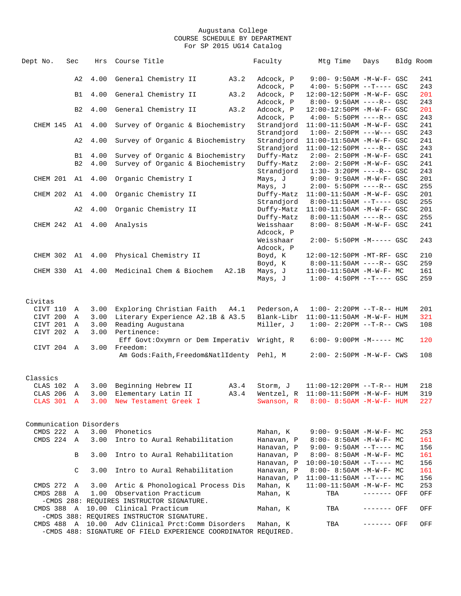| Dept No.                | Sec            | Hrs          | Course Title                                                                     |       | Faculty     | Mtg Time                          | Days        | Bldg Room |     |
|-------------------------|----------------|--------------|----------------------------------------------------------------------------------|-------|-------------|-----------------------------------|-------------|-----------|-----|
|                         | A2             | 4.00         | General Chemistry II                                                             | A3.2  | Adcock, P   | $9:00 - 9:50AM - M - W - F - GSC$ |             |           | 241 |
|                         |                |              |                                                                                  |       | Adcock, P   | $4:00 - 5:50PM -T--- GSC$         |             |           | 243 |
|                         | B1             | 4.00         | General Chemistry II                                                             | A3.2  | Adcock, P   | 12:00-12:50PM -M-W-F- GSC         |             |           | 201 |
|                         |                |              |                                                                                  |       | Adcock, P   | $8:00 - 9:50AM$ ----R-- GSC       |             |           | 243 |
|                         | B <sub>2</sub> | 4.00         | General Chemistry II                                                             | A3.2  | Adcock, P   | 12:00-12:50PM -M-W-F- GSC         |             |           | 201 |
|                         |                |              |                                                                                  |       | Adcock, P   | $4:00 - 5:50PM$ ----R-- GSC       |             |           | 243 |
| CHEM 145                | A1             | 4.00         | Survey of Organic & Biochemistry                                                 |       | Strandjord  | $11:00-11:50AM$ -M-W-F- GSC       |             |           | 241 |
|                         |                |              |                                                                                  |       | Strandjord  | $1:00-2:50PM$ ---W--- GSC         |             |           | 243 |
|                         | A2             | 4.00         | Survey of Organic & Biochemistry                                                 |       | Strandjord  | 11:00-11:50AM -M-W-F- GSC         |             |           | 241 |
|                         |                |              |                                                                                  |       | Strandjord  | 11:00-12:50PM ----R-- GSC         |             |           | 243 |
|                         | B1             | 4.00         | Survey of Organic & Biochemistry                                                 |       | Duffy-Matz  | $2:00 - 2:50PM - M - W - F - GSC$ |             |           | 241 |
|                         | B <sub>2</sub> | 4.00         | Survey of Organic & Biochemistry                                                 |       | Duffy-Matz  | $2:00 - 2:50PM - M - W - F - GSC$ |             |           | 241 |
|                         |                |              |                                                                                  |       | Strandjord  | $1:30-3:20PM$ ----R-- GSC         |             |           | 243 |
| CHEM 201 A1 4.00        |                |              | Organic Chemistry I                                                              |       | Mays, J     | 9:00- 9:50AM -M-W-F- GSC          |             |           | 201 |
|                         |                |              |                                                                                  |       | Mays, J     | $2:00 - 5:50PM$ ----R-- GSC       |             |           | 255 |
| CHEM 202                | A1             | 4.00         | Organic Chemistry II                                                             |       | Duffy-Matz  | $11:00-11:50AM$ -M-W-F- GSC       |             |           | 201 |
|                         |                |              |                                                                                  |       | Strandjord  | $8:00-11:50AM$ --T---- GSC        |             |           | 255 |
|                         | A <sub>2</sub> | 4.00         | Organic Chemistry II                                                             |       | Duffy-Matz  | $11:00-11:50AM$ -M-W-F- GSC       |             |           | 201 |
|                         |                |              |                                                                                  |       | Duffy-Matz  | 8:00-11:50AM ----R-- GSC          |             |           | 255 |
| CHEM 242 A1 4.00        |                |              | Analysis                                                                         |       | Weisshaar   | 8:00- 8:50AM -M-W-F- GSC          |             |           | 241 |
|                         |                |              |                                                                                  |       | Adcock, P   |                                   |             |           |     |
|                         |                |              |                                                                                  |       | Weisshaar   | $2:00 - 5:50PM -M--- GSC$         |             |           | 243 |
|                         |                |              |                                                                                  |       | Adcock, P   |                                   |             |           |     |
| CHEM 302 A1 4.00        |                |              | Physical Chemistry II                                                            |       | Boyd, K     | 12:00-12:50PM -MT-RF- GSC         |             |           | 210 |
|                         |                |              |                                                                                  |       | Boyd, K     | $8:00-11:50AM$ ----R-- GSC        |             |           | 259 |
| CHEM 330                |                | A1 4.00      | Medicinal Chem & Biochem                                                         | A2.1B | Mays, J     | 11:00-11:50AM -M-W-F- MC          |             |           | 161 |
|                         |                |              |                                                                                  |       | Mays, J     | $1:00-4:50PM -T---GSC$            |             |           | 259 |
|                         |                |              |                                                                                  |       |             |                                   |             |           |     |
|                         |                |              |                                                                                  |       |             |                                   |             |           |     |
| Civitas                 |                |              |                                                                                  |       |             |                                   |             |           |     |
| CIVT 110                | Α              | 3.00         | Exploring Christian Faith A4.1                                                   |       | Pederson, A | $1:00 - 2:20PM -T-R--HUM$         |             |           | 201 |
| CIVT 200                | Α              | 3.00         | Literary Experience A2.1B & A3.5                                                 |       | Blank-Libr  | $11:00-11:50AM$ -M-W-F- HUM       |             |           | 321 |
| CIVT 201                | Α              | 3.00         | Reading Augustana                                                                |       | Miller, J   | $1:00 - 2:20PM -T-R--CWS$         |             |           | 108 |
| CIVT 202                | Α              | 3.00         | Pertinence:                                                                      |       |             |                                   |             |           |     |
| CIVT 204 A              |                | 3.00         | Eff Govt: Oxymrn or Dem Imperativ Wright, R<br>Freedom:                          |       |             | $6:00-9:00PM -M--- MC$            |             |           | 120 |
|                         |                |              | Am Gods: Faith, Freedom&NatlIdenty Pehl, M                                       |       |             | $2:00 - 2:50PM -M-W-F - CWS$      |             |           | 108 |
|                         |                |              |                                                                                  |       |             |                                   |             |           |     |
|                         |                |              |                                                                                  |       |             |                                   |             |           |     |
| Classics                |                |              |                                                                                  |       |             |                                   |             |           |     |
| CLAS 102                | Α              | 3.00         | Beginning Hebrew II                                                              | A3.4  | Storm, J    | $11:00-12:20PM$ --T-R-- HUM       |             |           | 218 |
| CLAS 206                | Α              | 3.00         | Elementary Latin II                                                              | A3.4  | Wentzel, R  | 11:00-11:50PM -M-W-F- HUM         |             |           | 319 |
| CLAS 301 A              |                |              | 3.00 New Testament Greek I                                                       |       | Swanson, R  | $8:00 - 8:50$ AM $-M-W-F-$ HUM    |             |           | 227 |
|                         |                |              |                                                                                  |       |             |                                   |             |           |     |
|                         |                |              |                                                                                  |       |             |                                   |             |           |     |
| Communication Disorders |                |              |                                                                                  |       |             |                                   |             |           |     |
| CMDS 222                | $\mathbb A$    | 3.00         | Phonetics                                                                        |       | Mahan, K    | $9:00 - 9:50AM - M - W - F - MC$  |             |           | 253 |
| CMDS 224                | $\mathbb{A}$   | 3.00         | Intro to Aural Rehabilitation                                                    |       | Hanavan, P  | $8:00 - 8:50AM - M - W - F - MC$  |             |           | 161 |
|                         |                |              |                                                                                  |       | Hanavan, P  | $9:00 - 9:50AM -T--- MC$          |             |           | 156 |
|                         | B              | 3.00         | Intro to Aural Rehabilitation                                                    |       | Hanavan, P  | 8:00- 8:50AM -M-W-F- MC           |             |           | 161 |
|                         |                |              |                                                                                  |       | Hanavan, P  | $10:00-10:50AM$ --T---- MC        |             |           | 156 |
|                         | C              | 3.00         | Intro to Aural Rehabilitation                                                    |       | Hanavan, P  | 8:00- 8:50AM -M-W-F- MC           |             |           | 161 |
|                         |                |              |                                                                                  |       | Hanavan, P  | $11:00-11:50AM$ --T---- MC        |             |           | 156 |
| CMDS 272                | Α              | 3.00<br>1.00 | Artic & Phonological Process Dis                                                 |       | Mahan, K    | 11:00-11:50AM -M-W-F- MC          | ------- OFF |           | 253 |
| CMDS 288                | A              |              | Observation Practicum                                                            |       | Mahan, K    | TBA                               |             |           | OFF |
|                         |                |              | -CMDS 288: REQUIRES INSTRUCTOR SIGNATURE.                                        |       |             |                                   |             |           |     |
|                         |                |              | CMDS 388 A 10.00 Clinical Practicum<br>-CMDS 388: REQUIRES INSTRUCTOR SIGNATURE. |       | Mahan, K    | TBA                               | ------- OFF |           | OFF |
| CMDS 488                |                |              | A 10.00 Adv Clinical Prct: Comm Disorders                                        |       | Mahan, K    | TBA                               | ------- OFF |           | OFF |
|                         |                |              | -CMDS 488: SIGNATURE OF FIELD EXPERIENCE COORDINATOR REQUIRED.                   |       |             |                                   |             |           |     |
|                         |                |              |                                                                                  |       |             |                                   |             |           |     |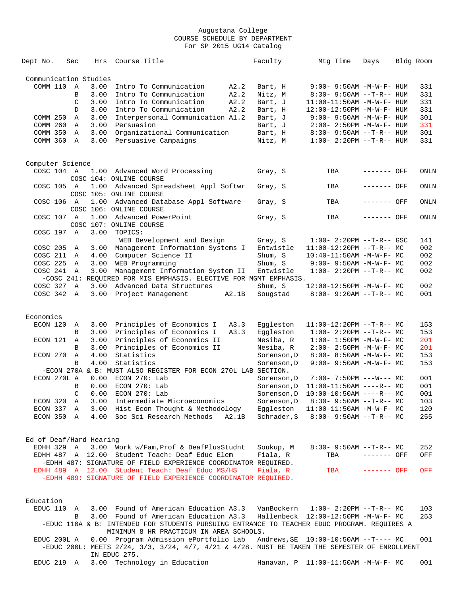| Dept No.                | Sec          | Hrs                   | Course Title                                                                                                                           |       | Faculty     |             | Mtg Time | Days                                   | Bldg Room |
|-------------------------|--------------|-----------------------|----------------------------------------------------------------------------------------------------------------------------------------|-------|-------------|-------------|----------|----------------------------------------|-----------|
|                         |              | Communication Studies |                                                                                                                                        |       |             |             |          |                                        |           |
| COMM 110                | A            | 3.00                  | Intro To Communication                                                                                                                 | A2.2  | Bart, H     |             |          | $9:00 - 9:50AM - M - W - F - HUM$      | 331       |
|                         | B            | 3.00                  | Intro To Communication                                                                                                                 | A2.2  | Nitz, M     |             |          | $8:30-9:50AM --T-R--HUM$               | 331       |
|                         | C            | 3.00                  | Intro To Communication                                                                                                                 | A2.2  | Bart, J     |             |          | $11:00-11:50AM$ -M-W-F- HUM            | 331       |
|                         | D            | 3.00                  | Intro To Communication                                                                                                                 | A2.2  | Bart, H     |             |          | 12:00-12:50PM -M-W-F- HUM              | 331       |
| COMM 250                | Α            | 3.00                  | Interpersonal Communication A1.2                                                                                                       |       | Bart, J     |             |          | $9:00 - 9:50AM - M - W - F - HUM$      | 301       |
| COMM 260                | Α            | 3.00                  | Persuasion                                                                                                                             |       | Bart, J     |             |          | $2:00 - 2:50PM -M-W-F - HUM$           | 331       |
| COMM 350                | A            | 3.00                  | Organizational Communication                                                                                                           |       | Bart, H     |             |          | $8:30 - 9:50AM -T-R-- HUM$             | 301       |
| COMM 360                | $\mathbb{A}$ | 3.00                  | Persuasive Campaigns                                                                                                                   |       | Nitz, M     |             |          | $1:00 - 2:20PM -T-R--HUM$              | 331       |
|                         |              |                       |                                                                                                                                        |       |             |             |          |                                        |           |
| Computer Science        |              |                       |                                                                                                                                        |       |             |             |          |                                        |           |
| COSC 104 A              |              | 1.00                  | Advanced Word Processing<br>COSC 104: ONLINE COURSE                                                                                    |       | Gray, S     |             | TBA      | ------- OFF                            | ONLN      |
| COSC 105 A              |              | 1.00                  | Advanced Spreadsheet Appl Softwr<br>COSC 105: ONLINE COURSE                                                                            |       | Gray, S     |             | TBA      | ------- OFF                            | ONLN      |
| COSC 106 A              |              | 1.00                  | Advanced Database Appl Software<br>COSC 106: ONLINE COURSE                                                                             |       | Gray, S     |             | TBA      | ------- OFF                            | ONLN      |
| COSC 107 A              |              | 1.00                  | Advanced PowerPoint<br>COSC 107: ONLINE COURSE                                                                                         |       | Gray, S     |             | TBA      | ------- OFF                            | ONLN      |
| COSC 197                | A            | 3.00                  | TOPICS:                                                                                                                                |       |             |             |          |                                        |           |
|                         |              |                       | WEB Development and Design                                                                                                             |       | Gray, S     |             |          | $1:00-2:20PM -T-R--GSC$                | 141       |
| COSC 205                | Α            | 3.00                  | Management Information Systems I                                                                                                       |       | Entwistle   |             |          | $11:00-12:20PM$ --T-R-- MC             | 002       |
| COSC 211                | A            | 4.00                  | Computer Science II                                                                                                                    |       | Shum, S     |             |          | $10:40 - 11:50AM$ -M-W-F- MC           | 002       |
| COSC 225                | $\mathbb{A}$ | 3.00                  | WEB Programming                                                                                                                        |       | Shum, S     |             |          | $9:00 - 9:50AM - M-W-F - MC$           | 002       |
| COSC 241                | A            | 3.00                  | Management Information System II                                                                                                       |       | Entwistle   |             |          | $1:00-2:20PM -T-R--MC$                 | 002       |
|                         |              |                       | -COSC 241: REQUIRED FOR MIS EMPHASIS. ELECTIVE FOR MGMT EMPHASIS.                                                                      |       |             |             |          |                                        |           |
| COSC 327                | $\mathbb A$  | 3.00                  | Advanced Data Structures                                                                                                               |       | Shum, S     |             |          | $12:00-12:50PM -M-W-F-MC$              | 002       |
| COSC 342                | A            | 3.00                  | Project Management                                                                                                                     | A2.1B | Sougstad    |             |          | $8:00 - 9:20AM -T-R-- MC$              | 001       |
|                         |              |                       |                                                                                                                                        |       |             |             |          |                                        |           |
| Economics               |              |                       |                                                                                                                                        |       |             |             |          |                                        |           |
| ECON 120                | Α            | 3.00                  | Principles of Economics I                                                                                                              | A3.3  | Eqqleston   |             |          | $11:00-12:20PM$ --T-R-- MC             | 153       |
|                         | B            | 3.00                  | Principles of Economics I                                                                                                              | A3.3  | Eggleston   |             |          | $1:00-2:20PM -T-R--MC$                 | 153       |
| ECON 121                | A            | 3.00                  | Principles of Economics II                                                                                                             |       | Nesiba, R   |             |          | $1:00 - 1:50PM - M - W - F - MC$       | 201       |
|                         | B            | 3.00                  | Principles of Economics II                                                                                                             |       | Nesiba, R   |             |          | 2:00- 2:50PM -M-W-F- MC                | 201       |
| ECON 270                | Α            | 4.00                  | Statistics                                                                                                                             |       | Sorenson, D |             |          | $8:00 - 8:50AM - M - W - F - MC$       | 153       |
|                         | B            | 4.00                  | Statistics                                                                                                                             |       | Sorenson, D |             |          | 9:00- 9:50AM -M-W-F- MC                | 153       |
|                         |              |                       | -ECON 270A & B: MUST ALSO REGISTER FOR ECON 270L LAB SECTION.                                                                          |       |             |             |          |                                        |           |
| ECON 270L A             |              | 0.00                  | ECON 270: Lab                                                                                                                          |       |             | Sorenson, D |          | $7:00 - 7:50PM$ ---W--- MC             | 001       |
|                         | B            | 0.00                  | ECON 270: Lab                                                                                                                          |       |             | Sorenson, D |          | $11:00-11:50AM$ ----R-- MC             | 001       |
|                         | C            |                       | $0.00$ ECON $270:$ Lab                                                                                                                 |       |             |             |          | Sorenson, D 10:00-10:50AM ----R-- MC   | 001       |
| ECON 320 A              |              |                       | 3.00 Intermediate Microeconomics                                                                                                       |       |             |             |          | Sorenson, $D = 8:30 - 9:50AM -T-R - M$ | 103       |
|                         |              |                       | ECON 337 A 3.00 Hist Econ Thought & Methodology                                                                                        |       |             |             |          | Eqqleston $11:00-11:50$ AM $-M-W-F-MC$ | 120       |
|                         |              |                       | ECON 350 A 4.00 Soc Sci Research Methods A2.1B                                                                                         |       |             |             |          | Schrader, S 8:00- 9:50AM --T-R-- MC    | 255       |
|                         |              |                       |                                                                                                                                        |       |             |             |          |                                        |           |
| Ed of Deaf/Hard Hearing |              |                       |                                                                                                                                        |       |             |             |          |                                        |           |
|                         |              |                       | EDHH 329 A 3.00 Work w/Fam, Prof & DeafPlusStudnt                                                                                      |       | Soukup, M   |             |          | $8:30 - 9:50AM -T-R--MC$               | 252       |
|                         |              |                       | EDHH 487 A 12.00 Student Teach: Deaf Educ Elem<br>-EDHH 487: SIGNATURE OF FIELD EXPERIENCE COORDINATOR REOUIRED.                       |       | Fiala, R    |             | TBA      | ------- OFF                            | OFF       |
|                         |              |                       | EDHH 489 A 12.00 Student Teach: Deaf Educ MS/HS                                                                                        |       | Fiala, R    |             | TBA      | $------$ OFF                           | OFF       |
|                         |              |                       | -EDHH 489: SIGNATURE OF FIELD EXPERIENCE COORDINATOR REQUIRED.                                                                         |       |             |             |          |                                        |           |
|                         |              |                       |                                                                                                                                        |       |             |             |          |                                        |           |
| Education<br>EDUC 110   |              |                       | A 3.00 Found of American Education A3.3                                                                                                |       |             |             |          | VanBockern 1:00- 2:20PM --T-R-- MC     | 103       |
|                         | B            |                       | 3.00 Found of American Education A3.3                                                                                                  |       |             |             |          | Hallenbeck 12:00-12:50PM -M-W-F- MC    | 253       |
|                         |              |                       | -EDUC 110A & B: INTENDED FOR STUDENTS PURSUING ENTRANCE TO TEACHER EDUC PROGRAM. REQUIRES A                                            |       |             |             |          |                                        |           |
|                         |              |                       | MINIMUM 8 HR PRACTICUM IN AREA SCHOOLS.                                                                                                |       |             |             |          |                                        |           |
| EDUC 200L A             |              |                       | 0.00 Program Admission ePortfolio Lab<br>-EDUC 200L: MEETS 2/24, 3/3, 3/24, 4/7, 4/21 & 4/28. MUST BE TAKEN THE SEMESTER OF ENROLLMENT |       |             |             |          | Andrews, SE   10:00-10:50AM --T---- MC | 001       |
|                         |              |                       | IN EDUC 275.                                                                                                                           |       |             |             |          |                                        |           |
|                         |              |                       | EDUC 219 A 3.00 Technology in Education                                                                                                |       |             |             |          | Hanavan, $P$ 11:00-11:50AM -M-W-F- MC  | 001       |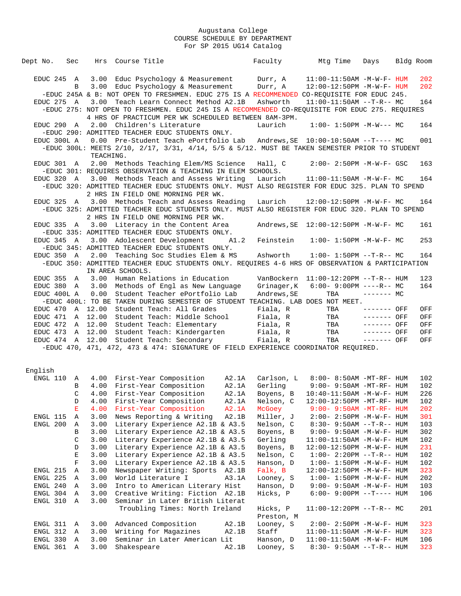| Dept No.     | Sec              |              | Hrs Course Title                                                                                |       | Faculty                | Mtg Time                                                     | Days                       | Bldg Room |            |
|--------------|------------------|--------------|-------------------------------------------------------------------------------------------------|-------|------------------------|--------------------------------------------------------------|----------------------------|-----------|------------|
|              |                  |              |                                                                                                 |       |                        |                                                              |                            |           |            |
| EDUC 245 A   |                  |              | 3.00 Educ Psychology & Measurement Durr, A                                                      |       |                        | $11:00-11:50AM$ -M-W-F- HUM                                  |                            |           | 202        |
|              | B                |              | 3.00 Educ Psychology & Measurement                                                              |       | Durr, A                | 12:00-12:50PM -M-W-F- HUM                                    |                            |           | 202        |
|              |                  |              | -EDUC 245A & B: NOT OPEN TO FRESHMEN. EDUC 275 IS A RECOMMENDED CO-REQUISITE FOR EDUC 245.      |       |                        |                                                              |                            |           |            |
| EDUC 275 A   |                  |              | 3.00 Teach Learn Connect Method A2.1B                                                           |       | Ashworth               | $11:00-11:50AM$ --T-R-- MC                                   |                            |           | 164        |
|              |                  |              | -EDUC 275: NOT OPEN TO FRESHMEN. EDUC 245 IS A RECOMMENDED CO-REOUISITE FOR EDUC 275. REOUIRES  |       |                        |                                                              |                            |           |            |
|              |                  |              | 4 HRS OF PRACTICUM PER WK SCHEDULED BETWEEN 8AM-3PM.                                            |       |                        |                                                              |                            |           |            |
| EDUC 290 A   |                  |              | 2.00 Children's Literature                                                                      |       | Laurich                | $1:00 - 1:50PM -M-W--- MC$                                   |                            |           | 164        |
|              |                  |              | -EDUC 290: ADMITTED TEACHER EDUC STUDENTS ONLY.                                                 |       |                        |                                                              |                            |           |            |
| EDUC 300L A  |                  |              | 0.00 Pre-Student Teach ePortfolio Lab Andrews, SE 10:00-10:50AM --T---- MC                      |       |                        |                                                              |                            |           | 001        |
|              |                  |              | -EDUC 300L: MEETS 2/10, 2/17, 3/31, 4/14, 5/5 & 5/12. MUST BE TAKEN SEMESTER PRIOR TO STUDENT   |       |                        |                                                              |                            |           |            |
|              |                  | TEACHING.    | 2.00 Methods Teaching Elem/MS Science                                                           |       | Hall, C                | $2:00 - 2:50PM - M - W - F - GSC$                            |                            |           |            |
| EDUC 301 A   |                  |              | -EDUC 301: REQUIRES OBSERVATION & TEACHING IN ELEM SCHOOLS.                                     |       |                        |                                                              |                            |           | 163        |
| EDUC 320 A   |                  |              | 3.00 Methods Teach and Assess Writing                                                           |       | Laurich                | $11:00-11:50AM$ -M-W-F- MC                                   |                            |           | 164        |
|              |                  |              | -EDUC 320: ADMITTED TEACHER EDUC STUDENTS ONLY. MUST ALSO REGISTER FOR EDUC 325. PLAN TO SPEND  |       |                        |                                                              |                            |           |            |
|              |                  |              | 2 HRS IN FIELD ONE MORNING PER WK.                                                              |       |                        |                                                              |                            |           |            |
|              |                  |              | EDUC 325 A 3.00 Methods Teach and Assess Reading                                                |       | Laurich                | $12:00-12:50PM -M-W-F-MC$                                    |                            |           | 164        |
|              |                  |              | -EDUC 325: ADMITTED TEACHER EDUC STUDENTS ONLY. MUST ALSO REGISTER FOR EDUC 320. PLAN TO SPEND  |       |                        |                                                              |                            |           |            |
|              |                  |              | 2 HRS IN FIELD ONE MORNING PER WK.                                                              |       |                        |                                                              |                            |           |            |
| EDUC 335 A   |                  |              | 3.00 Literacy in the Content Area                                                               |       |                        |                                                              |                            |           | 161        |
|              |                  |              | -EDUC 335: ADMITTED TEACHER EDUC STUDENTS ONLY.                                                 |       |                        |                                                              |                            |           |            |
| $EDUC$ 345 A |                  |              | 3.00 Adolescent Development                                                                     | A1.2  | Feinstein              | $1:00 - 1:50PM - M - W - F - MC$                             |                            |           | 253        |
|              |                  |              | -EDUC 345: ADMITTED TEACHER EDUC STUDENTS ONLY.                                                 |       |                        |                                                              |                            |           |            |
| EDUC 350 A   |                  |              | 2.00 Teaching Soc Studies Elem & MS                                                             |       | Ashworth               | $1:00 - 1:50PM -T-R-- MC$                                    |                            |           | 164        |
|              |                  |              | -EDUC 350: ADMITTED TEACHER EDUC STUDENTS ONLY. REQUIRES 4-6 HRS OF OBSERVATION & PARTICIPATION |       |                        |                                                              |                            |           |            |
|              |                  |              | IN AREA SCHOOLS.                                                                                |       |                        |                                                              |                            |           |            |
| EDUC 355 A   |                  |              | 3.00 Human Relations in Education                                                               |       |                        | VanBockern 11:00-12:20PM --T-R-- HUM                         |                            |           | 123        |
| EDUC 380 A   |                  |              | 3.00 Methods of Engl as New Language                                                            |       | Grinager, K            | $6:00 - 9:00PM$ ----R-- MC                                   |                            |           | 164        |
| EDUC 400L A  |                  | 0.00         | Student Teacher ePortfolio Lab                                                                  |       | Andrews, SE            | TBA                                                          | $------$ MC                |           |            |
|              |                  |              | -EDUC 400L: TO BE TAKEN DURING SEMESTER OF STUDENT TEACHING. LAB DOES NOT MEET.                 |       |                        |                                                              |                            |           |            |
| EDUC 470     |                  |              | A 12.00 Student Teach: All Grades<br>EDUC 471 A 12.00 Student Teach: Middle School              |       | Fiala, R<br>Fiala, R   | TBA<br>TBA                                                   | ------- OFF<br>$-----$ OFF |           | OFF        |
| EDUC 472     |                  |              | A 12.00 Student Teach: Elementary                                                               |       | Fiala, R               | TBA                                                          | ------- OFF                |           | OFF<br>OFF |
|              |                  |              | EDUC 473 A 12.00 Student Teach: Kindergarten                                                    |       | Fiala, R               | TBA                                                          | $------$ OFF               |           | OFF        |
|              |                  |              | EDUC 474 A 12.00 Student Teach: Secondary                                                       |       | Fiala, R               | TBA                                                          | $------$ OFF               |           | OFF        |
|              |                  |              | -EDUC 470, 471, 472, 473 & 474: SIGNATURE OF FIELD EXPERIENCE COORDINATOR REQUIRED.             |       |                        |                                                              |                            |           |            |
|              |                  |              |                                                                                                 |       |                        |                                                              |                            |           |            |
|              |                  |              |                                                                                                 |       |                        |                                                              |                            |           |            |
| English      |                  |              |                                                                                                 |       |                        |                                                              |                            |           |            |
|              |                  |              | ENGL 110 A 4.00 First-Year Composition A2.1A                                                    |       | Carlson, L             | 8:00- 8:50AM -MT-RF- HUM                                     |                            |           | 102        |
|              | B                |              | 4.00 First-Year Composition                                                                     | A2.1A | Gerling                | $9:00-9:50AM - MT - RF - HUM$                                |                            |           | 102        |
|              | C                |              | 4.00 First-Year Composition                                                                     | A2.1A |                        |                                                              |                            |           | 226        |
|              | D                | 4.00         | First-Year Composition                                                                          | A2.1A | Nelson, C              | 12:00-12:50PM -MT-RF- HUM                                    |                            |           | 102        |
|              | Е                |              | 4.00 First-Year Composition                                                                     | A2.1A | McGoey                 | $9:00 - 9:50AM - MT - RF - HUM$                              |                            |           | 202        |
| ENGL 115     | Α                | 3.00         | News Reporting & Writing                                                                        | A2.1B | Miller, J              | $2:00 - 2:50PM -M-W-F - HUM$                                 |                            |           | 301        |
| ENGL 200     | Α                | 3.00         | Literary Experience A2.1B & A3.5                                                                |       | Nelson, C              | $8:30 - 9:50AM -T-R-- HUM$                                   |                            |           | 103        |
|              | В                | 3.00         | Literary Experience A2.1B & A3.5                                                                |       | Boyens, B              | $9:00 - 9:50AM - M - W - F - HUM$                            |                            |           | 302        |
|              | C                | 3.00         | Literary Experience A2.1B & A3.5                                                                |       | Gerling                | $11:00-11:50AM$ -M-W-F- HUM                                  |                            |           | 102        |
|              | D                | 3.00         | Literary Experience A2.1B & A3.5                                                                |       | Boyens, B              | 12:00-12:50PM -M-W-F- HUM                                    |                            |           | 231        |
|              | E<br>$\mathbf F$ | 3.00<br>3.00 | Literary Experience A2.1B & A3.5<br>Literary Experience A2.1B & A3.5                            |       | Nelson, C<br>Hanson, D | $1:00-2:20PM -T-R--HUM$<br>$1:00 - 1:50PM - M - W - F - HUM$ |                            |           | 102<br>102 |
| ENGL 215     | Α                | 3.00         | Newspaper Writing: Sports A2.1B                                                                 |       | Falk, B                | 12:00-12:50PM -M-W-F- HUM                                    |                            |           | 323        |
| ENGL 225     | Α                | 3.00         | World Literature I                                                                              | A3.1A | Looney, S              | $1:00 - 1:50PM - M - W - F - HUM$                            |                            |           | 202        |
| ENGL 240     | Α                | 3.00         | Intro to American Literary Hist                                                                 |       | Hanson, D              | $9:00 - 9:50$ AM $-M-W-F-$ HUM                               |                            |           | 103        |
| ENGL 304     | A                | 3.00         | Creative Writing: Fiction A2.1B                                                                 |       | Hicks, P               | $6:00 - 9:00PM -T--- HUM$                                    |                            |           | 106        |
| ENGL 310     | Α                | 3.00         | Seminar in Later British Literat                                                                |       |                        |                                                              |                            |           |            |
|              |                  |              | Troubling Times: North Ireland                                                                  |       | Hicks, P               | $11:00-12:20PM$ --T-R-- MC                                   |                            |           | 201        |
|              |                  |              |                                                                                                 |       | Preston, M             |                                                              |                            |           |            |
| ENGL 311 A   |                  | 3.00         | Advanced Composition                                                                            | A2.1B | Looney, S              | $2:00 - 2:50PM -M-W-F - HUM$                                 |                            |           | 323        |
| ENGL 312 A   |                  | 3.00         | Writing for Magazines                                                                           | A2.1B | Staff                  | $11:00-11:50AM$ -M-W-F- HUM                                  |                            |           | 323        |

 ENGL 330 A 3.00 Seminar in Later American Lit Hanson, D 11:00-11:50AM -M-W-F- HUM 106 ENGL 361 A 3.00 Shakespeare A2.1B Looney, S 8:30- 9:50AM --T-R-- HUM 323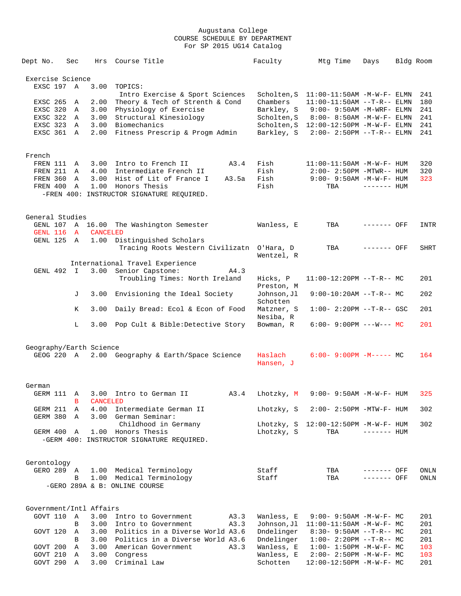| Dept No.                  | Sec          | Hrs                     | Course Title                                                    | Faculty                   | Mtg Time                                                        | Days         | Bldg Room |             |
|---------------------------|--------------|-------------------------|-----------------------------------------------------------------|---------------------------|-----------------------------------------------------------------|--------------|-----------|-------------|
| Exercise Science          |              |                         |                                                                 |                           |                                                                 |              |           |             |
| EXSC 197 A                |              | 3.00                    | TOPICS:                                                         |                           |                                                                 |              |           |             |
|                           |              |                         | Intro Exercise & Sport Sciences                                 |                           | Scholten, S 11:00-11:50AM -M-W-F- ELMN                          |              |           | 241         |
| EXSC 265                  | A            | 2.00                    | Theory & Tech of Strenth & Cond                                 | Chambers                  | $11:00-11:50AM$ --T-R-- ELMN                                    |              |           | 180         |
| EXSC 320<br>EXSC 322 A    | A            | 3.00<br>3.00            | Physiology of Exercise<br>Structural Kinesiology                | Barkley, S<br>Scholten, S | 9:00- 9:50AM -M-WRF- ELMN<br>$8:00 - 8:50AM - M - W - F - ELMN$ |              |           | 241<br>241  |
| EXSC 323                  | A            | 3.00                    | Biomechanics                                                    | Scholten,S                | 12:00-12:50PM -M-W-F- ELMN                                      |              |           | 241         |
| EXSC 361 A                |              | 2.00                    | Fitness Prescrip & Progm Admin                                  | Barkley, S                | $2:00 - 2:50PM -T-R-- ELMN$                                     |              |           | 241         |
| French                    |              |                         |                                                                 |                           |                                                                 |              |           |             |
| FREN 111                  | A            | 3.00                    | Intro to French II<br>A3.4                                      | Fish                      | 11:00-11:50AM -M-W-F- HUM                                       |              |           | 320         |
| FREN 211 A                |              |                         | 4.00 Intermediate French II                                     | Fish                      | $2:00 - 2:50PM - MTWR - - HUM$                                  |              |           | 320         |
| FREN 360                  | A            | 3.00                    | Hist of Lit of France I<br>A3.5a                                | Fish                      | 9:00- 9:50AM -M-W-F- HUM                                        |              |           | 323         |
| FREN 400                  | A            | 1.00                    | Honors Thesis                                                   | Fish                      | TBA                                                             | $------$ HUM |           |             |
|                           |              |                         | -FREN 400: INSTRUCTOR SIGNATURE REQUIRED.                       |                           |                                                                 |              |           |             |
| General Studies           |              |                         |                                                                 |                           |                                                                 |              |           |             |
|                           |              |                         | GENL 107 A 16.00 The Washington Semester                        | Wanless, E                | TBA                                                             | ------- OFF  |           | INTR        |
| GENL 116<br>GENL 125 A    | $\mathbf{A}$ | <b>CANCELED</b><br>1.00 | Distinguished Scholars                                          |                           |                                                                 |              |           |             |
|                           |              |                         | Tracing Roots Western Civilizatn O'Hara, D                      | Wentzel, R                | TBA                                                             | ------- OFF  |           | <b>SHRT</b> |
|                           |              |                         | International Travel Experience                                 |                           |                                                                 |              |           |             |
| GENL 492 I                |              |                         | 3.00 Senior Capstone:<br>A4.3                                   |                           |                                                                 |              |           |             |
|                           |              |                         | Troubling Times: North Ireland                                  | Hicks, P<br>Preston, M    | $11:00-12:20PM$ --T-R-- MC                                      |              |           | 201         |
|                           | J            | 3.00                    | Envisioning the Ideal Society                                   | Johnson, Jl<br>Schotten   | $9:00-10:20AM$ --T-R-- MC                                       |              |           | 202         |
|                           | K            | 3.00                    | Daily Bread: Ecol & Econ of Food                                | Matzner, S<br>Nesiba, R   | $1:00-2:20PM --T-R--GSC$                                        |              |           | 201         |
|                           | L            |                         | 3.00 Pop Cult & Bible: Detective Story                          | Bowman, R                 | $6:00 - 9:00PM$ ---W--- MC                                      |              |           | 201         |
| Geography/Earth Science   |              |                         |                                                                 |                           |                                                                 |              |           |             |
| GEOG 220 A                |              |                         | 2.00 Geography & Earth/Space Science                            | Haslach<br>Hansen, J      | $6:00-9:00PM$ $-M---$ MC                                        |              |           | 164         |
|                           |              |                         |                                                                 |                           |                                                                 |              |           |             |
| German                    |              |                         |                                                                 |                           |                                                                 |              |           |             |
| GERM 111 A                | B            | <b>CANCELED</b>         | 3.00 Intro to German II<br>A3.4                                 | Lhotzky, M                | $9:00 - 9:50AM - M - W - F - HUM$                               |              |           | 325         |
| GERM 211                  | A            | 4.00                    | Intermediate German II                                          | Lhotzky, S                | $2:00 - 2:50PM - MTW - F - HUM$                                 |              |           | 302         |
| GERM 380                  | A            |                         | 3.00 German Seminar:                                            |                           |                                                                 |              |           |             |
|                           |              |                         | Childhood in Germany                                            |                           | Lhotzky, S 12:00-12:50PM -M-W-F- HUM                            |              |           | 302         |
| GERM 400 A                |              |                         | 1.00 Honors Thesis<br>-GERM 400: INSTRUCTOR SIGNATURE REQUIRED. | Lhotzky, S                | TBA                                                             | $------$ HUM |           |             |
|                           |              |                         |                                                                 |                           |                                                                 |              |           |             |
| Gerontology<br>GERO 289 A |              |                         | 1.00 Medical Terminology                                        | Staff                     | TBA                                                             | ------- OFF  |           | ONLN        |
|                           | B            |                         | 1.00 Medical Terminology                                        | Staff                     | TBA                                                             | $------$ OFF |           | ONLN        |
|                           |              |                         | -GERO 289A & B: ONLINE COURSE                                   |                           |                                                                 |              |           |             |
| Government/Intl Affairs   |              |                         |                                                                 |                           |                                                                 |              |           |             |
| GOVT 110                  | Α            | 3.00                    | Intro to Government<br>A3.3                                     | Wanless, E                | $9:00 - 9:50AM - M-W-F - MC$                                    |              |           | 201         |
|                           | B            | 3.00                    | A3.3<br>Intro to Government                                     | Johnson, Jl               | $11:00-11:50AM$ -M-W-F- MC                                      |              |           | 201         |
| GOVT 120                  | A            | 3.00                    | Politics in a Diverse World A3.6                                | Dndelinger                | $8:30 - 9:50AM -T-R-- MC$                                       |              |           | 201         |
|                           | B<br>Α       | 3.00<br>3.00            | Politics in a Diverse World A3.6<br>American Government<br>A3.3 | Dndelinger<br>Wanless, E  | $1:00-2:20PM -T-R--MC$                                          |              |           | 201         |
| GOVT 200<br>GOVT 210      | A            | 3.00                    | Congress                                                        | Wanless, E                | $1:00 - 1:50PM - M - W - F - MC$<br>2:00- 2:50PM -M-W-F- MC     |              |           | 103<br>103  |
| GOVT 290 A                |              | 3.00                    | Criminal Law                                                    | Schotten                  | 12:00-12:50PM -M-W-F- MC                                        |              |           | 201         |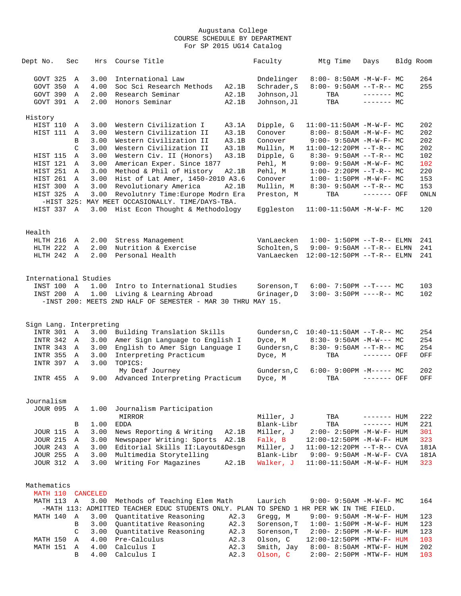| Dept No.             | Sec            | Hrs                     | Course Title                                                                            |       | Faculty                | Mtg Time                                                  | Days           | Bldg Room |             |
|----------------------|----------------|-------------------------|-----------------------------------------------------------------------------------------|-------|------------------------|-----------------------------------------------------------|----------------|-----------|-------------|
| GOVT 325             | Α              | 3.00                    | International Law                                                                       |       | Dndelinger             | 8:00- 8:50AM -M-W-F- MC                                   |                |           | 264         |
| GOVT 350             | Α              | 4.00                    | Soc Sci Research Methods                                                                | A2.1B | Schrader, S            | $8:00-9:50AM --T-R--MC$                                   |                |           | 255         |
| GOVT 390             | Α              | 2.00                    | Research Seminar                                                                        | A2.1B | Johnson, Jl            | TBA                                                       | $--- - - -$ MC |           |             |
| GOVT 391 A           |                | 2.00                    | Honors Seminar                                                                          | A2.1B | Johnson, Jl            | TBA                                                       | $------$ MC    |           |             |
| History              |                |                         |                                                                                         |       |                        |                                                           |                |           |             |
| HIST 110             | Α              | 3.00                    | Western Civilization I                                                                  | A3.1A | Dipple, G              | $11:00-11:50AM$ -M-W-F- MC                                |                |           | 202         |
| HIST 111             | Α              | 3.00                    | Western Civilization II                                                                 | A3.1B | Conover                | $8:00 - 8:50AM - M - W - F - MC$                          |                |           | 202         |
|                      | В              | 3.00                    | Western Civilization II                                                                 | A3.1B | Conover                | $9:00 - 9:50AM - M - W - F - MC$                          |                |           | 202         |
|                      | C              | 3.00                    | Western Civilization II                                                                 | A3.1B | Mullin, M              | $11:00-12:20PM$ --T-R-- MC                                |                |           | 202         |
| HIST 115             | Α              | 3.00                    | Western Civ. II (Honors)                                                                | A3.1B | Dipple, G              | $8:30 - 9:50AM$ --T-R-- MC                                |                |           | 102         |
| HIST 121             | A              | 3.00                    | American Exper. Since 1877                                                              |       | Pehl, M                | $9:00 - 9:50AM - M - W - F - MC$                          |                |           | 102         |
| HIST 251             | A              | 3.00                    | Method & Phil of History                                                                | A2.1B | Pehl, M                | $1:00-2:20PM -T-R--MC$                                    |                |           | 220         |
| HIST 261             | A              | 3.00                    | Hist of Lat Amer, 1450-2010 A3.6                                                        |       | Conover                | $1:00 - 1:50PM -M-W-F-MC$                                 |                |           | 153         |
| HIST 300             | Α              | 3.00                    | Revolutionary America                                                                   | A2.1B | Mullin, M              | $8:30-9:50AM --T-R--MC$                                   |                |           | 153         |
| HIST 325             | Α              | 3.00                    | Revolutnry Time: Europe Modrn Era                                                       |       | Preston, M             | TBA                                                       | ------- OFF    |           | <b>ONLN</b> |
| HIST 337 A           |                | 3.00                    | -HIST 325: MAY MEET OCCASIONALLY. TIME/DAYS-TBA.<br>Hist Econ Thought & Methodology     |       | Eqqleston              | $11:00-11:50AM$ -M-W-F- MC                                |                |           | 120         |
|                      |                |                         |                                                                                         |       |                        |                                                           |                |           |             |
| Health               |                |                         |                                                                                         |       |                        |                                                           |                |           |             |
| HLTH 216             | A              | 2.00                    | Stress Management                                                                       |       | VanLaecken             | $1:00 - 1:50PM -T-R--ELMN$                                |                |           | 241         |
| HLTH 222             | A              | 2.00                    | Nutrition & Exercise                                                                    |       | Scholten, S            | $9:00 - 9:50AM$ --T-R-- ELMN                              |                |           | 241         |
| HLTH 242 A           |                | 2.00                    | Personal Health                                                                         |       |                        | VanLaecken 12:00-12:50PM --T-R-- ELMN                     |                |           | 241         |
|                      |                |                         |                                                                                         |       |                        |                                                           |                |           |             |
|                      |                | International Studies   |                                                                                         |       |                        |                                                           |                |           |             |
| INST 100             | $\overline{A}$ | 1.00                    | Intro to International Studies                                                          |       | Sorenson, T            | $6:00 - 7:50PM -T--- MC$                                  |                |           | 103         |
| INST 200 A           |                | 1.00                    | Living & Learning Abroad                                                                |       | Grinager, D            | $3:00 - 3:50PM$ ----R-- MC                                |                |           | 102         |
|                      |                |                         | -INST 200: MEETS 2ND HALF OF SEMESTER - MAR 30 THRU MAY 15.                             |       |                        |                                                           |                |           |             |
|                      |                |                         |                                                                                         |       |                        |                                                           |                |           |             |
|                      |                | Sign Lang. Interpreting |                                                                                         |       |                        |                                                           |                |           |             |
| INTR 301             | Α              | 3.00<br>3.00            | Building Translation Skills                                                             |       | Gundersn, C<br>Dyce, M | $10:40-11:50AM$ --T-R-- MC<br>$8:30 - 9:50AM - M-W--- MC$ |                |           | 254<br>254  |
| INTR 342<br>INTR 343 | A<br>A         | 3.00                    | Amer Sign Language to English I<br>English to Amer Sign Language I                      |       | Gundersn, C            | $8:30 - 9:50AM -T-R-- MC$                                 |                |           | 254         |
| <b>INTR 355</b>      | Α              | 3.00                    | Interpreting Practicum                                                                  |       | Dyce, M                | TBA                                                       | ------- OFF    |           | OFF         |
| INTR 397             | Α              | 3.00                    | TOPICS:                                                                                 |       |                        |                                                           |                |           |             |
|                      |                |                         | My Deaf Journey                                                                         |       | Gundersn, C            | $6:00 - 9:00PM -M--- MC$                                  |                |           | 202         |
| INTR 455             | A              | 9.00                    | Advanced Interpreting Practicum                                                         |       | Dyce, M                | TBA                                                       | $------$ OFF   |           | OFF         |
|                      |                |                         |                                                                                         |       |                        |                                                           |                |           |             |
| Journalism           |                |                         |                                                                                         |       |                        |                                                           |                |           |             |
| <b>JOUR 095</b>      | Α              | 1.00                    | Journalism Participation                                                                |       |                        |                                                           |                |           |             |
|                      |                |                         | MIRROR                                                                                  |       | Miller, J              | TBA                                                       | ------- HUM    |           | 222         |
|                      | В              | 1.00                    | <b>EDDA</b>                                                                             |       | Blank-Libr             | TBA                                                       | ------- HUM    |           | 221         |
| <b>JOUR 115</b>      | Α              | 3.00                    | News Reporting & Writing                                                                | A2.1B | Miller, J              | 2:00- 2:50PM -M-W-F- HUM                                  |                |           | 301         |
| <b>JOUR 215</b>      | Α              | 3.00                    | Newspaper Writing: Sports                                                               | A2.1B | Falk, B                | $12:00-12:50PM -M-W-F- HUM$                               |                |           | 323         |
| <b>JOUR 243</b>      | Α              | 3.00                    | Editorial Skills II: Layout&Desgn                                                       |       | Miller, J              | $11:00-12:20PM$ --T-R-- CVA                               |                |           | 181A        |
| <b>JOUR 255</b>      | Α              | 3.00                    | Multimedia Storytelling                                                                 |       | Blank-Libr             | 9:00- 9:50AM -M-W-F- CVA                                  |                |           | 181A        |
| <b>JOUR 312</b>      | Α              | 3.00                    | Writing For Magazines                                                                   | A2.1B | Walker, J              | $11:00-11:50AM$ -M-W-F- HUM                               |                |           | 323         |
| Mathematics          |                |                         |                                                                                         |       |                        |                                                           |                |           |             |
| MATH 110             |                | <b>CANCELED</b>         |                                                                                         |       |                        |                                                           |                |           |             |
| MATH 113             | Α              | 3.00                    | Methods of Teaching Elem Math                                                           |       | Laurich                | $9:00 - 9:50AM - M - W - F - MC$                          |                |           | 164         |
|                      |                |                         | -MATH 113: ADMITTED TEACHER EDUC STUDENTS ONLY. PLAN TO SPEND 1 HR PER WK IN THE FIELD. |       |                        |                                                           |                |           |             |
| MATH 140             | $\mathbb A$    | 3.00                    | Quantitative Reasoning                                                                  | A2.3  | Gregg, M               | $9:00 - 9:50AM - M - W - F - HUM$                         |                |           | 123         |
|                      | B              | 3.00                    | Quantitative Reasoning                                                                  | A2.3  | Sorenson, T            | $1:00 - 1:50PM - M - W - F - HUM$                         |                |           | 123         |
|                      | C              | 3.00                    | Quantitative Reasoning                                                                  | A2.3  | Sorenson, T            | 2:00- 2:50PM -M-W-F- HUM                                  |                |           | 123         |
| MATH 150             | Α              | 4.00                    | Pre-Calculus                                                                            | A2.3  | Olson, C               | 12:00-12:50PM -MTW-F- HUM                                 |                |           | 103         |
| MATH 151             | Α              | 4.00                    | Calculus I                                                                              | A2.3  | Smith, Jay             | 8:00- 8:50AM -MTW-F- HUM                                  |                |           | 202         |
|                      |                |                         |                                                                                         |       |                        |                                                           |                |           |             |

B 4.00 Calculus I A2.3 Olson, C 2:00- 2:50PM -MTW-F- HUM 103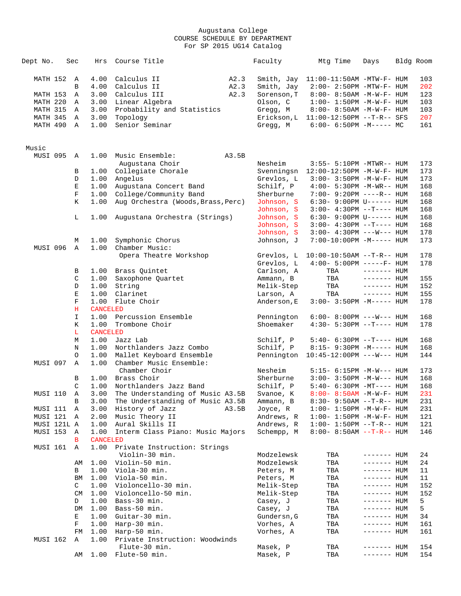| Dept No.    | Sec         | Hrs             | Course Title                                   | Faculty     | Mtg Time                               | Days               | Bldg Room |
|-------------|-------------|-----------------|------------------------------------------------|-------------|----------------------------------------|--------------------|-----------|
| MATH 152    | A           | 4.00            | Calculus II<br>A2.3                            | Smith, Jay  | $11:00-11:50AM$ -MTW-F- HUM            |                    | 103       |
|             | B           | 4.00            | Calculus II<br>A2.3                            | Smith, Jay  | 2:00- 2:50PM -MTW-F- HUM               |                    | 202       |
| MATH 153    | Α           | 3.00            | Calculus III<br>A2.3                           | Sorenson, T | $8:00 - 8:50AM - M - W - F - HUM$      |                    | 123       |
| MATH 220    | Α           | 3.00            | Linear Algebra                                 | Olson, C    | $1:00 - 1:50PM - M - W - F - HUM$      |                    | 103       |
| MATH 315    |             |                 |                                                |             |                                        |                    | 103       |
|             | A           | 3.00            | Probability and Statistics                     | Gregg, M    | 8:00- 8:50AM -M-W-F- HUM               |                    |           |
| MATH 345    | A           | 3.00            | Topology                                       |             | Erickson, L  11:00-12:50PM --T-R-- SFS |                    | 207       |
| MATH 490    | A           | 1.00            | Senior Seminar                                 | Gregg, M    | $6:00-6:50PM -M----- MC$               |                    | 161       |
| Music       |             |                 |                                                |             |                                        |                    |           |
| MUSI 095 A  |             | 1.00            | Music Ensemble:<br>A3.5B                       |             |                                        |                    |           |
|             |             |                 | Augustana Choir                                | Nesheim     | 3:55- 5:10PM -MTWR-- HUM               |                    | 173       |
|             | В           | 1.00            | Collegiate Chorale                             | Svenningsn  | $12:00-12:50PM$ -M-W-F- HUM            |                    | 173       |
|             | D           | 1.00            | Angelus                                        | Grevlos, L  | $3:00 - 3:50PM -M-W-F - HUM$           |                    | 173       |
|             | E           | 1.00            | Augustana Concert Band                         | Schilf, P   | 4:00- 5:30PM -M-WR-- HUM               |                    | 168       |
|             | F           | 1.00            |                                                | Sherburne   |                                        |                    | 168       |
|             |             |                 | College/Community Band                         |             | 7:00- 9:20PM ----R-- HUM               |                    |           |
|             | K           | 1.00            | Aug Orchestra (Woods, Brass, Perc)             | Johnson, S  | 6:30- 9:00PM U------ HUM               |                    | 168       |
|             |             |                 |                                                | Johnson, S  | $3:00-4:30PM -T--- HUM$                |                    | 168       |
|             | L           | 1.00            | Augustana Orchestra (Strings)                  | Johnson, S  | $6:30 - 9:00 \text{PM U----- HUM}$     |                    | 168       |
|             |             |                 |                                                | Johnson, S  | $3:00-4:30PM -T--- HUM$                |                    | 168       |
|             |             |                 |                                                | Johnson, S  | $3:00 - 4:30PM$ ---W--- HUM            |                    | 178       |
|             | М           | 1.00            | Symphonic Chorus                               | Johnson, J  | $7:00-10:00PM -M-----$ HUM             |                    | 173       |
| MUSI 096    | A           | 1.00            | Chamber Music:                                 |             |                                        |                    |           |
|             |             |                 | Opera Theatre Workshop                         | Grevlos, L  | $10:00-10:50AM$ --T-R-- HUM            |                    | 178       |
|             |             |                 |                                                | Grevlos, L  | $4:00 - 5:00PM$ -----F- HUM            |                    |           |
|             |             |                 |                                                |             |                                        |                    | 178       |
|             | В           | 1.00            | Brass Quintet                                  | Carlson, A  | TBA                                    | $------$ HUM       |           |
|             | $\mathsf C$ | 1.00            | Saxophone Quartet                              | Ammann, B   | TBA                                    | $------$ HUM       | 155       |
|             | D           | 1.00            | String                                         | Melik-Step  | TBA                                    | $------$ HUM       | 152       |
|             | Е           | 1.00            | Clarinet                                       | Larson, A   | TBA                                    | $------$ HUM       | 155       |
|             | $\mathbf F$ | 1.00            | Flute Choir                                    | Anderson, E | $3:00-3:50PM -M-----$ HUM              |                    | 178       |
|             | Η           | <b>CANCELED</b> |                                                |             |                                        |                    |           |
|             | I           | 1.00            | Percussion Ensemble                            | Pennington  | $6:00-8:00PM$ ---W--- HUM              |                    | 168       |
|             | Κ           | 1.00            | Trombone Choir                                 | Shoemaker   | $4:30-5:30PM --T--- HUM$               |                    | 178       |
|             | L           | <b>CANCELED</b> |                                                |             |                                        |                    |           |
|             |             |                 |                                                |             |                                        |                    |           |
|             | М           | 1.00            | Jazz Lab                                       | Schilf, P   | 5:40- 6:30PM --T---- HUM               |                    | 168       |
|             | Ν           | 1.00            | Northlanders Jazz Combo                        | Schilf, P   | 8:15- 9:30PM -M----- HUM               |                    | 168       |
|             | O           | 1.00            | Mallet Keyboard Ensemble                       | Pennington  | $10:45 - 12:00 \text{PM}$ ---W--- HUM  |                    | 144       |
| MUSI 097    | Α           | 1.00            | Chamber Music Ensemble:<br>Chamber Choir       | Nesheim     | 5:15- 6:15PM -M-W--- HUM               |                    | 173       |
|             | В           | 1.00            | Brass Choir                                    | Sherburne   | $3:00 - 3:50PM -M-W--- HUM$            |                    | 168       |
|             | C           | 1.00            | Northlanders Jazz Band                         | Schilf, P   | 5:40- 6:30PM -MT---- HUM               |                    | 168       |
| MUSI 110    | Α           | 3.00            | The Understanding of Music A3.5B               | Svanoe, K   | $8:00 - 8:50AM - M - W - F - HUM$      |                    | 231       |
|             | В           | 3.00            | The Understanding of Music A3.5B               | Ammann, B   | 8:30- 9:50AM --T-R-- HUM               |                    | 231       |
|             |             |                 |                                                |             |                                        |                    |           |
| MUSI 111    | Α           | 3.00            | History of Jazz<br>A3.5B                       | Joyce, R    | $1:00 - 1:50PM - M - W - F - HUM$      |                    | 231       |
| MUSI 121    | Α           | 2.00            | Music Theory II                                | Andrews, R  | $1:00 - 1:50PM - M - W - F - HUM$      |                    | 121       |
| MUSI 121L A |             | 1.00            | Aural Skills II                                | Andrews, R  | $1:00 - 1:50PM -T-R-- HUM$             |                    | 121       |
| MUSI 153    | Α           | 1.00            | Interm Class Piano: Music Majors               | Schempp, M  | $8:00 - 8:50AM -T-R-- HUM$             |                    | 146       |
|             | В           | <b>CANCELED</b> |                                                |             |                                        |                    |           |
| MUSI 161    | Α           | 1.00            | Private Instruction: Strings<br>Violin-30 min. | Modzelewsk  | TBA                                    | ------- HUM        | 24        |
|             |             |                 |                                                |             |                                        |                    |           |
|             | AΜ          | 1.00            | Violin-50 min.                                 | Modzelewsk  | TBA                                    | ------- HUM        | 24        |
|             | В           | 1.00            | Viola-30 min.                                  | Peters, M   | TBA                                    | ------- HUM        | 11        |
|             | ΒM          | 1.00            | Viola-50 min.                                  | Peters, M   | TBA                                    | $------$ HUM       | 11        |
|             | C           | 1.00            | Violoncello-30 min.                            | Melik-Step  | TBA                                    | ------- HUM        | 152       |
|             | <b>CM</b>   | 1.00            | Violoncello-50 min.                            | Melik-Step  | TBA                                    | ------- HUM        | 152       |
|             | D           | 1.00            | Bass-30 min.                                   | Casey, J    | TBA                                    | ------- HUM        | 5         |
|             | DM          | 1.00            | Bass-50 min.                                   | Casey, J    | TBA                                    | ------- HUM        | 5         |
|             | Е           | 1.00            | Guitar-30 min.                                 | Gundersn, G | TBA                                    | ------- HUM        | 34        |
|             | F           | 1.00            | Harp-30 min.                                   | Vorhes, A   |                                        | ------- HUM        |           |
|             |             |                 |                                                |             | TBA                                    |                    | 161       |
| MUSI 162    | FM<br>Α     | 1.00<br>1.00    | Harp-50 min.<br>Private Instruction: Woodwinds | Vorhes, A   | TBA                                    | ------- HUM        | 161       |
|             |             |                 | Flute-30 min.                                  | Masek, P    | TBA                                    | ------- HUM        | 154       |
|             | AΜ          |                 | $1.00$ Flute-50 min.                           | Masek, P    | TBA                                    | ------- <b>HUM</b> | 154       |
|             |             |                 |                                                |             |                                        |                    |           |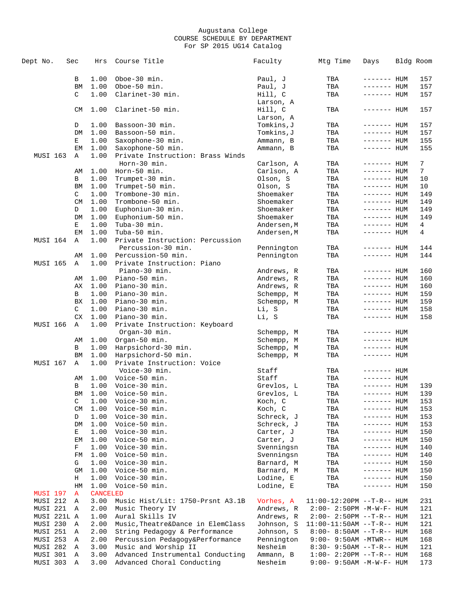| Dept No.        | Sec |           | Hrs             | Course Title                           | Faculty                | Mtg Time                     | Days                         | Bldg Room  |
|-----------------|-----|-----------|-----------------|----------------------------------------|------------------------|------------------------------|------------------------------|------------|
|                 |     |           |                 |                                        |                        |                              |                              |            |
|                 | В   |           | 1.00            | Oboe-30 min.                           | Paul, J                | TBA                          | ------- HUM                  | 157        |
|                 |     | <b>BM</b> | 1.00            | Oboe-50 min.                           | Paul, J                | TBA                          | ------- HUM                  | 157        |
|                 |     | C         | 1.00            | Clarinet-30 min.                       | Hill, C                | TBA                          | ------- HUM                  | 157        |
|                 |     |           |                 |                                        | Larson, A              |                              |                              |            |
|                 |     | CM        | 1.00            | Clarinet-50 min.                       | Hill, C                | TBA                          | ------- HUM                  | 157        |
|                 |     |           |                 |                                        | Larson, A              |                              |                              |            |
|                 | D   |           | 1.00            | Bassoon-30 min.                        | Tomkins, J             | TBA                          | ------- HUM                  | 157        |
|                 |     | DM        | 1.00            | Bassoon-50 min.                        | Tomkins,J              | TBA                          | ------- HUM                  | 157        |
|                 |     | Е         | 1.00            | Saxophone-30 min.                      | Ammann, B              | TBA                          | ------- HUM                  | 155        |
|                 |     | EM        | 1.00            | Saxophone-50 min.                      | Ammann, B              | TBA                          | ------- HUM                  | 155        |
| MUSI 163        | Α   |           | 1.00            | Private Instruction: Brass Winds       |                        |                              |                              |            |
|                 |     |           |                 | Horn-30 min.                           | Carlson, A             | TBA                          | ------- HUM                  | 7          |
|                 |     | AΜ        | 1.00            | Horn-50 min.                           | Carlson, A             | TBA                          | ------- <b>HUM</b>           | 7          |
|                 |     | В         | 1.00            | Trumpet-30 min.                        | Olson, S               | TBA                          | ------- HUM                  | 10         |
|                 |     | <b>BM</b> | 1.00            | Trumpet-50 min.                        | Olson, S               | TBA                          | ------- HUM                  | 10         |
|                 |     | C         | 1.00            | Trombone-30 min.                       | Shoemaker              | TBA                          | ------- HUM                  | 149        |
|                 |     | CM<br>D   | 1.00<br>1.00    | Trombone-50 min.                       | Shoemaker<br>Shoemaker | TBA                          | ------- HUM                  | 149<br>149 |
|                 |     | DM        | 1.00            | Euphoniun-30 min.<br>Euphonium-50 min. | Shoemaker              | TBA<br>TBA                   | ------- HUM<br>------- HUM   | 149        |
|                 |     | Е         | 1.00            | Tuba-30 min.                           | Andersen, M            | TBA                          | ------- HUM                  | 4          |
|                 |     | EM        | 1.00            | Tuba-50 min.                           | Andersen, M            | TBA                          | ------- HUM                  | 4          |
| MUSI 164        |     | Α         | 1.00            | Private Instruction: Percussion        |                        |                              |                              |            |
|                 |     |           |                 | Percussion-30 min.                     | Pennington             | TBA                          | $------$ HUM                 | 144        |
|                 |     | AΜ        | 1.00            | Percussion-50 min.                     | Pennington             | TBA                          | $------$ HUM                 | 144        |
| <b>MUSI 165</b> |     | Α         | 1.00            | Private Instruction: Piano             |                        |                              |                              |            |
|                 |     |           |                 | Piano-30 min.                          | Andrews, R             | TBA                          | ------- HUM                  | 160        |
|                 |     | AΜ        | 1.00            | Piano-50 min.                          | Andrews, R             | TBA                          | ------- HUM                  | 160        |
|                 |     | АX        | 1.00            | Piano-30 min.                          | Andrews, R             | TBA                          | ------- HUM                  | 160        |
|                 |     | в         | 1.00            | Piano-30 min.                          | Schempp, M             | TBA                          | ------- HUM                  | 159        |
|                 |     | <b>BX</b> | 1.00            | Piano-30 min.                          | Schempp, M             | TBA                          | ------- HUM                  | 159        |
|                 |     | C         | 1.00            | Piano-30 min.                          | Li, S                  | TBA                          | ------- HUM                  | 158        |
|                 |     | CX        | 1.00            | Piano-30 min.                          | Li, S                  | TBA                          | ------- HUM                  | 158        |
| <b>MUSI 166</b> |     | Α         | 1.00            | Private Instruction: Keyboard          |                        |                              |                              |            |
|                 |     |           |                 | Organ-30 min.                          | Schempp, M             | TBA                          | $------$ HUM                 |            |
|                 |     | AΜ        | 1.00            | Organ-50 min.                          | Schempp, M             | TBA                          | ------- HUM                  |            |
|                 |     | В         | 1.00            | Harpsichord-30 min.                    | Schempp, M             | TBA                          | ------- HUM                  |            |
|                 |     | BM        | 1.00            | Harpsichord-50 min.                    | Schempp, M             | TBA                          | ------- HUM                  |            |
| MUSI 167        |     | Α         | 1.00            | Private Instruction: Voice             |                        |                              |                              |            |
|                 |     |           |                 | Voice-30 min.                          | Staff                  | TBA                          | ------- HUM                  |            |
|                 |     | AΜ        | 1.00            | Voice-50 min.                          | Staff                  | TBA                          | ------- HUM                  |            |
|                 | В   |           | 1.00            | Voice-30 min.                          | Grevlos, L             | TBA                          | ------- HUM                  | 139        |
|                 |     | BM        | 1.00            | Voice-50 min.                          | Grevlos, L             | TBA                          | ------- HUM                  | 139        |
|                 | C   |           | 1.00            | Voice-30 min.                          | Koch, C                | TBA                          | ------- HUM                  | 153        |
|                 |     | <b>CM</b> | 1.00            | Voice-50 min.                          | Koch, C                | TBA                          | ------- HUM                  | 153        |
|                 | D   |           | 1.00            | Voice-30 min.                          | Schreck, J             | TBA                          | ------- HUM                  | 153        |
|                 | Е   | DM        | 1.00            | Voice-50 min.                          | Schreck, J             | TBA                          | $------$ HUM                 | 153        |
|                 |     | ЕM        | 1.00<br>1.00    | Voice-30 min.<br>Voice-50 min.         | Carter, J<br>Carter, J | TBA<br>TBA                   | $------$ HUM<br>$------$ HUM | 150<br>150 |
|                 | F   |           | 1.00            | Voice-30 min.                          | Svenningsn             | TBA                          | ------- HUM                  | 140        |
|                 |     | FM        | 1.00            | Voice-50 min.                          | Svenningsn             | TBA                          | ------- HUM                  | 140        |
|                 |     | G         | 1.00            | Voice-30 min.                          | Barnard, M             | TBA                          | ------- HUM                  | 150        |
|                 |     | GM        | 1.00            | Voice-50 min.                          | Barnard, M             | TBA                          | ------- HUM                  | 150        |
|                 |     | Н         | 1.00            | Voice-30 min.                          | Lodine, E              | TBA                          | ------- HUM                  | 150        |
|                 |     | HM        | 1.00            | Voice-50 min.                          | Lodine, E              | TBA                          | $------$ HUM                 | 150        |
| <b>MUSI 197</b> | Α   |           | <b>CANCELED</b> |                                        |                        |                              |                              |            |
| MUSI 212        | Α   |           | 3.00            | Music Hist/Lit: 1750-Prsnt A3.1B       | Vorhes, A              | $11:00-12:20PM -T-R--HUM$    |                              | 231        |
| MUSI 221        | Α   |           | 2.00            | Music Theory IV                        | Andrews, R             | $2:00 - 2:50PM -M-W-F - HUM$ |                              | 121        |
| MUSI 221L A     |     |           | 1.00            | Aural Skills IV                        | Andrews, R             | 2:00- 2:50PM --T-R-- HUM     |                              | 121        |
| MUSI 230        | Α   |           | 2.00            | Music, Theatre&Dance in ElemClass      | Johnson, S             | $11:00-11:50AM$ --T-R-- HUM  |                              | 121        |
| MUSI 251        | Α   |           | 2.00            | String Pedagogy & Performance          | Johnson, S             | $8:00 - 8:50AM -T-R-- HUM$   |                              | 168        |
| MUSI 253        | Α   |           | 2.00            | Percussion Pedagogy&Performance        | Pennington             | 9:00- 9:50AM -MTWR-- HUM     |                              | 168        |
| MUSI 282        | Α   |           | 3.00            | Music and Worship II                   | Nesheim                | 8:30- 9:50AM --T-R-- HUM     |                              | 121        |
| MUSI 301        | Α   |           | 3.00            | Advanced Instrumental Conducting       | Ammann, B              | $1:00-2:20PM -T-R--HUM$      |                              | 168        |
| MUSI 303        | Α   |           | 3.00            | Advanced Choral Conducting             | Nesheim                | 9:00- 9:50AM -M-W-F- HUM     |                              | 173        |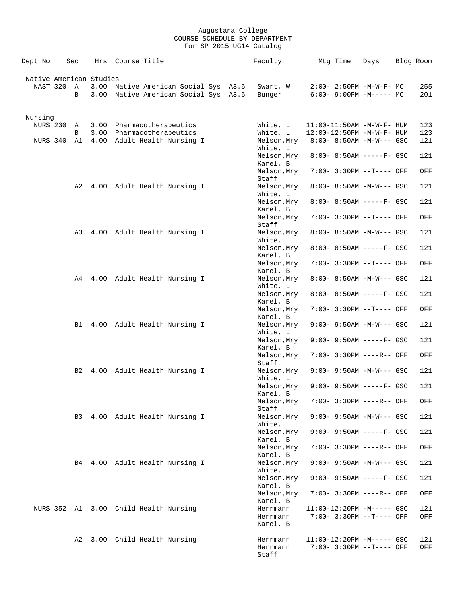| Dept No.                            | Sec    | Hrs          | Course Title |                                                                    | Faculty                 | Mtg Time | Days                                                  | Bldg Room  |
|-------------------------------------|--------|--------------|--------------|--------------------------------------------------------------------|-------------------------|----------|-------------------------------------------------------|------------|
| Native American Studies<br>NAST 320 | Α<br>В | 3.00<br>3.00 |              | Native American Social Sys A3.6<br>Native American Social Sys A3.6 | Swart, W<br>Bunger      |          | $2:00 - 2:50PM -M-W-F - MC$<br>$6:00-9:00PM -M--- MC$ | 255<br>201 |
|                                     |        |              |              |                                                                    |                         |          |                                                       |            |
| Nursing                             |        |              |              |                                                                    |                         |          |                                                       |            |
| <b>NURS 230</b>                     | Α      | 3.00         |              | Pharmacotherapeutics                                               | White, L                |          | $11:00-11:50AM$ -M-W-F- HUM                           | 123        |
|                                     | В      | 3.00         |              | Pharmacotherapeutics                                               | White, L                |          | 12:00-12:50PM -M-W-F- HUM                             | 123        |
| NURS 340                            | A1     | 4.00         |              | Adult Health Nursing I                                             | Nelson, Mry<br>White, L |          | $8:00 - 8:50AM - M-W--- GSC$                          | 121        |
|                                     |        |              |              |                                                                    | Nelson, Mry             |          | $8:00 - 8:50AM$ -----F- GSC                           | 121        |
|                                     |        |              |              |                                                                    | Karel, B                |          |                                                       |            |
|                                     |        |              |              |                                                                    | Nelson, Mry             |          | 7:00- 3:30PM --T---- OFF                              | OFF        |
|                                     |        |              |              |                                                                    | Staff                   |          |                                                       |            |
|                                     | A2     |              |              | 4.00 Adult Health Nursing I                                        | Nelson, Mry<br>White, L |          | $8:00-8:50AM$ -M-W--- GSC                             | 121        |
|                                     |        |              |              |                                                                    | Nelson, Mry             |          | $8:00 - 8:50AM$ -----F- GSC                           | 121        |
|                                     |        |              |              |                                                                    | Karel, B                |          |                                                       |            |
|                                     |        |              |              |                                                                    | Nelson, Mry             |          | 7:00- 3:30PM --T---- OFF                              | OFF        |
|                                     |        |              |              |                                                                    | Staff                   |          |                                                       |            |
|                                     | A3     |              |              | 4.00 Adult Health Nursing I                                        | Nelson, Mry<br>White, L |          | $8:00 - 8:50AM$ -M-W--- GSC                           | 121        |
|                                     |        |              |              |                                                                    | Nelson, Mry             |          | $8:00 - 8:50AM$ -----F- GSC                           | 121        |
|                                     |        |              |              |                                                                    | Karel, B                |          |                                                       |            |
|                                     |        |              |              |                                                                    | Nelson, Mry             |          | $7:00-3:30PM -T---$ OFF                               | OFF        |
|                                     |        |              |              |                                                                    | Karel, B                |          |                                                       |            |
|                                     |        |              |              | A4 4.00 Adult Health Nursing I                                     | Nelson, Mry<br>White, L |          | $8:00 - 8:50AM - M-W--- GSC$                          | 121        |
|                                     |        |              |              |                                                                    | Nelson, Mry             |          | $8:00 - 8:50AM$ -----F- GSC                           | 121        |
|                                     |        |              |              |                                                                    | Karel, B                |          |                                                       |            |
|                                     |        |              |              |                                                                    | Nelson, Mry             |          | 7:00- 3:30PM --T---- OFF                              | OFF        |
|                                     |        |              |              | B1 4.00 Adult Health Nursing I                                     | Karel, B<br>Nelson, Mry |          | $9:00 - 9:50AM - M-W--- GSC$                          | 121        |
|                                     |        |              |              |                                                                    | White, L                |          |                                                       |            |
|                                     |        |              |              |                                                                    | Nelson, Mry             |          | $9:00 - 9:50AM$ -----F- GSC                           | 121        |
|                                     |        |              |              |                                                                    | Karel, B<br>Nelson, Mry |          | 7:00- 3:30PM ----R-- OFF                              | OFF        |
|                                     |        |              |              |                                                                    | Staff                   |          |                                                       |            |
|                                     | B2     |              |              | 4.00 Adult Health Nursing I                                        | Nelson, Mry             |          | $9:00 - 9:50AM - M-W--- GSC$                          | 121        |
|                                     |        |              |              |                                                                    | White, L                |          |                                                       |            |
|                                     |        |              |              |                                                                    | Nelson, Mry<br>Karel, B |          | $9:00 - 9:50AM$ -----F- GSC                           | 121        |
|                                     |        |              |              |                                                                    | Nelson, Mry             |          | 7:00- 3:30PM ----R-- OFF                              | OFF        |
|                                     |        |              |              |                                                                    | Staff                   |          |                                                       |            |
|                                     |        |              |              | B3 4.00 Adult Health Nursing I                                     | Nelson, Mry             |          | 9:00- 9:50AM -M-W--- GSC                              | 121        |
|                                     |        |              |              |                                                                    | White, L<br>Nelson, Mry |          | $9:00 - 9:50$ AM -----F- GSC                          | 121        |
|                                     |        |              |              |                                                                    | Karel, B                |          |                                                       |            |
|                                     |        |              |              |                                                                    | Nelson, Mry             |          | 7:00- 3:30PM ----R-- OFF                              | OFF        |
|                                     |        |              |              | B4 4.00 Adult Health Nursing I                                     | Karel, B                |          | 9:00- 9:50AM -M-W--- GSC                              | 121        |
|                                     |        |              |              |                                                                    | Nelson, Mry<br>White, L |          |                                                       |            |
|                                     |        |              |              |                                                                    | Nelson, Mry             |          | $9:00 - 9:50AM$ -----F- GSC                           | 121        |
|                                     |        |              |              |                                                                    | Karel, B                |          |                                                       |            |
|                                     |        |              |              |                                                                    | Nelson, Mry<br>Karel, B |          | 7:00- 3:30PM ----R-- OFF                              | OFF        |
|                                     |        |              |              | NURS 352 A1 3.00 Child Health Nursing                              | Herrmann                |          | $11:00-12:20PM$ -M----- GSC                           | 121        |
|                                     |        |              |              |                                                                    | Herrmann                |          | 7:00- 3:30PM --T---- OFF                              | OFF        |
|                                     |        |              |              |                                                                    | Karel, B                |          |                                                       |            |
|                                     | A2     |              |              | 3.00 Child Health Nursing                                          | Herrmann                |          | $11:00-12:20PM -M----- GSC$                           | 121        |
|                                     |        |              |              |                                                                    | Herrmann                |          | 7:00- 3:30PM --T---- OFF                              | OFF        |
|                                     |        |              |              |                                                                    | Staff                   |          |                                                       |            |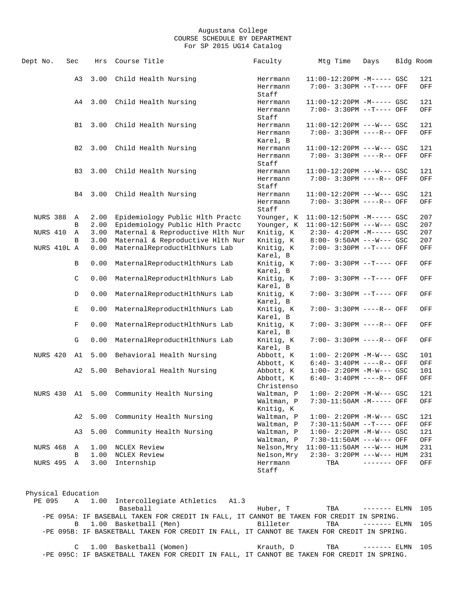| Dept No.        | Sec            | Hrs          | Course Title                     | Faculty                                | Mtg Time                                                 | Days         | Bldg Room  |
|-----------------|----------------|--------------|----------------------------------|----------------------------------------|----------------------------------------------------------|--------------|------------|
|                 | A3             | 3.00         | Child Health Nursing             | Herrmann<br>Herrmann<br>Staff          | $11:00-12:20PM -M--- GSC$<br>7:00- 3:30PM --T---- OFF    |              | 121<br>OFF |
|                 | A4             | 3.00         | Child Health Nursing             | Herrmann                               | $11:00-12:20PM -M---$ GSC                                |              | 121        |
|                 |                |              |                                  | Herrmann<br>Staff                      | 7:00- 3:30PM --T---- OFF                                 |              | OFF        |
|                 | B1             | 3.00         | Child Health Nursing             | Herrmann                               | 11:00-12:20PM ---W--- GSC                                |              | 121        |
|                 |                |              |                                  | Herrmann<br>Karel, B                   | 7:00- 3:30PM ----R-- OFF                                 |              | OFF        |
|                 | B2             | 3.00         | Child Health Nursing             | Herrmann                               | $11:00-12:20PM$ ---W--- GSC                              |              | 121        |
|                 |                |              |                                  | Herrmann<br>Staff                      | 7:00- 3:30PM ----R-- OFF                                 |              | OFF        |
|                 | B <sub>3</sub> | 3.00         | Child Health Nursing             | Herrmann                               | $11:00-12:20PM$ ---W--- GSC                              |              | 121        |
|                 |                |              |                                  | Herrmann<br>Staff                      | 7:00- 3:30PM ----R-- OFF                                 |              | OFF        |
|                 | B4             | 3.00         | Child Health Nursing             | Herrmann                               | $11:00-12:20PM$ ---W--- GSC                              |              | 121        |
|                 |                |              |                                  | Herrmann<br>Staff                      | 7:00- 3:30PM ----R-- OFF                                 |              | OFF        |
| NURS 388        | A              | 2.00         | Epidemiology Public Hlth Practc  | Younger, K                             | $11:00-12:50PM -M--- GSC$                                |              | 207        |
|                 | B              | 2.00         | Epidemiology Public Hlth Practc  | Younger, K                             | $11:00-12:50PM$ ---W--- GSC                              |              | 207        |
| NURS 410        | Α              | 3.00         | Maternal & Reproductive Hlth Nur | Knitig, K                              | $2:30-4:20PM -M---GSC$                                   |              | 207        |
|                 | B              | 3.00         | Maternal & Reproductive Hlth Nur | Knitig, K                              | $8:00 - 9:50AM$ ---W--- GSC                              |              | 207        |
| NURS 410L A     |                | 0.00         | MaternalReproductHlthNurs Lab    | Knitig, K<br>Karel, B                  | 7:00- 3:30PM --T---- OFF                                 |              | OFF        |
|                 | B              | 0.00         | MaternalReproductHlthNurs Lab    | Knitig, K<br>Karel, B                  | 7:00- 3:30PM --T---- OFF                                 |              | OFF        |
|                 | $\mathsf C$    | 0.00         | MaternalReproductHlthNurs Lab    | Knitig, K<br>Karel, B                  | 7:00- 3:30PM --T---- OFF                                 |              | OFF        |
|                 | D              | 0.00         | MaternalReproductHlthNurs Lab    | Knitig, K<br>Karel, B                  | 7:00- 3:30PM --T---- OFF                                 |              | OFF        |
|                 | Е              | 0.00         | MaternalReproductHlthNurs Lab    | Knitig, K<br>Karel, B                  | 7:00- 3:30PM ----R-- OFF                                 |              | OFF        |
|                 | F              | 0.00         | MaternalReproductHlthNurs Lab    | Knitig, K<br>Karel, B                  | 7:00- 3:30PM ----R-- OFF                                 |              | OFF        |
|                 | G              | 0.00         | MaternalReproductHlthNurs Lab    | Knitig, K<br>Karel, B                  | 7:00- 3:30PM ----R-- OFF                                 |              | OFF        |
| NURS 420        | A1             | 5.00         | Behavioral Health Nursing        | Abbott, K                              | $1:00 - 2:20PM -M-W--- GSC$                              |              | 101        |
|                 |                |              |                                  | Abbott, K                              | $6:40-3:40PM$ ----R-- OFF                                |              | OFF        |
|                 | A2             | 5.00         | Behavioral Health Nursing        | Abbott, K<br>Abbott, K                 | $1:00 - 2:20PM -M-W--- GSC$<br>$6:40-3:40PM$ ----R-- OFF |              | 101<br>OFF |
| NURS 430        | A1             | 5.00         | Community Health Nursing         | Christenso<br>Waltman, P<br>Waltman, P | $1:00 - 2:20PM -M-W---$ GSC<br>7:30-11:50AM -M----- OFF  |              | 121<br>OFF |
|                 |                |              |                                  | Knitig, K                              |                                                          |              |            |
|                 | A2             | 5.00         | Community Health Nursing         | Waltman, P                             | $1:00-2:20PM -M-W--- GSC$                                |              | 121        |
|                 |                |              |                                  | Waltman, P                             | 7:30-11:50AM --T---- OFF                                 |              | OFF        |
|                 | A3             | 5.00         | Community Health Nursing         | Waltman, P                             | $1:00 - 2:20PM -M-W--- GSC$                              |              | 121        |
|                 |                |              |                                  | Waltman, P                             | 7:30-11:50AM ---W--- OFF                                 |              | OFF        |
| <b>NURS 468</b> | Α              | 1.00         | NCLEX Review                     | Nelson, Mry                            | $11:00-11:50AM$ ---W--- HUM                              |              | 231        |
| <b>NURS 495</b> | B              | 1.00<br>3.00 | NCLEX Review                     | Nelson, Mry                            | $2:30-3:20PM$ ---W--- HUM                                | $------$ OFF | 231        |
|                 | Α              |              | Internship                       | Herrmann<br>Staff                      | TBA                                                      |              | OFF        |

Physical Education PE 095 A 1.00 Intercollegiate Athletics A1.3<br>Baseball Baseball Huber, T TBA ------- ELMN 105 -PE 095A: IF BASEBALL TAKEN FOR CREDIT IN FALL, IT CANNOT BE TAKEN FOR CREDIT IN SPRING. B 1.00 Basketball (Men) Billeter TBA ------- ELMN 105 -PE 095B: IF BASKETBALL TAKEN FOR CREDIT IN FALL, IT CANNOT BE TAKEN FOR CREDIT IN SPRING. C 1.00 Basketball (Women) Krauth, D TBA ------- ELMN 105 -PE 095C: IF BASKETBALL TAKEN FOR CREDIT IN FALL, IT CANNOT BE TAKEN FOR CREDIT IN SPRING.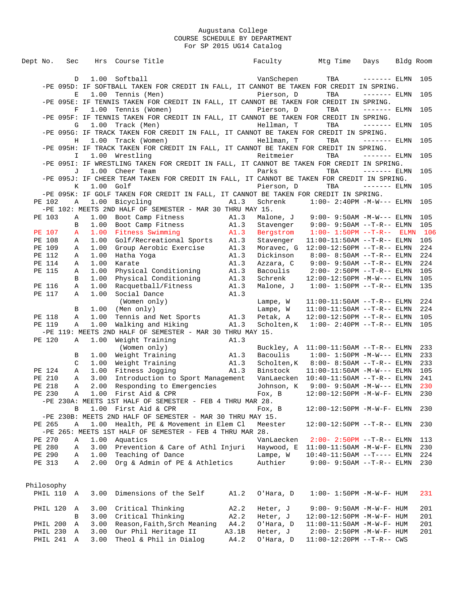| Dept No.             | Sec          |              | Hrs Course Title                                                                                   |               |                       | Faculty Mtg Time                                           | Days          | Bldg Room |            |
|----------------------|--------------|--------------|----------------------------------------------------------------------------------------------------|---------------|-----------------------|------------------------------------------------------------|---------------|-----------|------------|
|                      | D            |              | 1.00 Softball                                                                                      |               | VanSchepen            | <b>TBA</b>                                                 | $------ELMN$  |           | 105        |
|                      |              |              | -PE 095D: IF SOFTBALL TAKEN FOR CREDIT IN FALL, IT CANNOT BE TAKEN FOR CREDIT IN SPRING.           |               |                       |                                                            |               |           |            |
|                      | Е            | 1.00         | Tennis (Men)                                                                                       |               | Pierson, D            | TBA                                                        | $------$ ELMN |           | 105        |
|                      |              |              | -PE 095E: IF TENNIS TAKEN FOR CREDIT IN FALL, IT CANNOT BE TAKEN FOR CREDIT IN SPRING.             |               |                       |                                                            |               |           |            |
|                      | $\mathbf F$  |              | 1.00 Tennis (Women)                                                                                |               | Pierson, D            | TBA                                                        | $------$ ELMN |           | 105        |
|                      |              |              | -PE 095F: IF TENNIS TAKEN FOR CREDIT IN FALL, IT CANNOT BE TAKEN FOR CREDIT IN SPRING.             |               |                       |                                                            |               |           |            |
|                      | G            |              | 1.00 Track (Men)                                                                                   |               | Hellman, T            | TBA                                                        | $------ELMN$  |           | 105        |
|                      |              |              | -PE 095G: IF TRACK TAKEN FOR CREDIT IN FALL, IT CANNOT BE TAKEN FOR CREDIT IN SPRING.              |               |                       |                                                            |               |           |            |
|                      | H            |              | 1.00 Track (Women)                                                                                 |               | Hellman, T            | TBA                                                        | $------$ ELMN |           | 105        |
|                      |              |              | -PE 095H: IF TRACK TAKEN FOR CREDIT IN FALL, IT CANNOT BE TAKEN FOR CREDIT IN SPRING.              |               |                       |                                                            |               |           |            |
|                      | $\mathbf{I}$ |              | 1.00 Wrestling                                                                                     |               | Reitmeier             | TBA                                                        | $------$ ELMN |           | 105        |
|                      |              |              | -PE 0951: IF WRESTLING TAKEN FOR CREDIT IN FALL, IT CANNOT BE TAKEN FOR CREDIT IN SPRING.          |               |                       |                                                            |               |           |            |
|                      | J            |              | 1.00 Cheer Team                                                                                    |               | Parks                 | TBA                                                        | $------$ ELMN |           | 105        |
|                      |              |              | -PE 095J: IF CHEER TEAM TAKEN FOR CREDIT IN FALL, IT CANNOT BE TAKEN FOR CREDIT IN SPRING.         |               |                       |                                                            |               |           |            |
|                      | K            | 1.00         | Golf                                                                                               |               | Pierson, D            | TBA                                                        | $------ELMN$  |           | 105        |
|                      |              |              | -PE 095K: IF GOLF TAKEN FOR CREDIT IN FALL, IT CANNOT BE TAKEN FOR CREDIT IN SPRING.               |               |                       |                                                            |               |           |            |
| PE 102               | Α            | 1.00         | Bicycling                                                                                          | A1.3          | Schrenk               | $1:00-2:40PM -M-W---$ ELMN                                 |               |           | 105        |
|                      |              |              | -PE 102: MEETS 2ND HALF OF SEMESTER - MAR 30 THRU MAY 15.                                          |               |                       |                                                            |               |           |            |
| PE 103               | Α            | 1.00         | Boot Camp Fitness                                                                                  | A1.3          |                       | Malone, J 9:00-9:50AM -M-W--- ELMN                         |               |           | 105        |
|                      | B            | 1.00         | Boot Camp Fitness Al.3                                                                             |               | Stavenger             | $9:00 - 9:50AM -T-R--ELMN$                                 |               |           | 105        |
| PE 107               | $\mathbf{A}$ |              | 1.00 Fitness Swimming<br>1.00 Golf/Recreational Sports A1.3                                        | A1.3          | Bergstrom             | $1:00 - 1:50PM -T-R-- ELMN$                                |               |           | 106        |
| PE 108               | Α            |              |                                                                                                    |               | Stavenger             | $11:00-11:50AM$ --T-R-- ELMN                               |               |           | 105        |
| PE 109               | Α            | 1.00         | Group Aerobic Exercise A1.3                                                                        |               | Moravec, G            | $12:00-12:50PM$ --T-R-- ELMN                               |               |           | 224        |
| PE 112               | Α            | 1.00         | Hatha Yoga                                                                                         | A1.3          | Dickinson             | $8:00 - 8:50AM$ --T-R-- ELMN                               |               |           | 224        |
| PE 114               | Α            | 1.00         | Karate                                                                                             | A1.3          | Azzara, C<br>Bacoulis | $9:00 - 9:50AM -T-R--ELMN$                                 |               |           | 224        |
| PE 115               | Α<br>B       | 1.00<br>1.00 | Physical Conditioning A1.3                                                                         |               | Schrenk               | $2:00 - 2:50PM -T-R-- ELMN$                                |               |           | 105<br>105 |
| PE 116               | Α            | 1.00         | Physical Conditioning A1.3<br>Racquetball/Fitness A1.3<br>Social Dance A1.3<br>Racquetball/Fitness |               | Malone, J             | $12:00-12:50PM -M-W---$ ELMN<br>$1:00 1:50PM$ --T-R-- ELMN |               |           | 135        |
| PE 117               | Α            | 1.00         |                                                                                                    |               |                       |                                                            |               |           |            |
|                      |              |              | (Women only)                                                                                       |               | Lampe, W              | $11:00-11:50AM$ --T-R-- ELMN                               |               |           | 224        |
|                      | B            | 1.00         | (Men only)                                                                                         |               | Lampe, W              | $11:00-11:50AM$ --T-R-- ELMN                               |               |           | 224        |
| PE 118               | Α            | 1.00         | Tennis and Net Sports A1.3                                                                         |               | Petak, A              | $12:00-12:50PM$ --T-R-- ELMN                               |               |           | 105        |
| PE 119               | Α            | 1.00         | Walking and Hiking                                                                                 | A1.3          |                       | Scholten, $K = 1:00 - 2:40PM -T-R-- ELMN$                  |               |           | 105        |
|                      |              |              | -PE 119: MEETS 2ND HALF OF SEMESTER - MAR 30 THRU MAY 15.                                          |               |                       |                                                            |               |           |            |
| PE 120               | Α            | 1.00         | Weight Training                                                                                    | A1.3          |                       |                                                            |               |           |            |
|                      |              |              | (Women only)                                                                                       |               |                       | Buckley, $A = 11:00-11:50AM$ --T-R-- ELMN                  |               |           | 233        |
|                      | В            | 1.00         | Weight Training                                                                                    | A1.3          |                       | Bacoulis $1:00-1:50PM -M-W---$ ELMN                        |               |           | 233        |
|                      | C            | 1.00         | Weight Training                                                                                    | A1.3          |                       | Scholten, $K$ 8:00-8:50AM --T-R-- ELMN                     |               |           | 233        |
| PE 124               | Α            | 1.00         | Fitness Jogging                                                                                    | A1.3          | Binstock              | $11:00-11:50AM -M-W---$ ELMN                               |               |           | 105        |
| PE 210               | Α            | 3.00         | Introduction to Sport Management                                                                   |               |                       | VanLaecken  10:40-11:50AM --T-R-- ELMN                     |               |           | 241        |
| PE 218               | Α            | 2.00         | Responding to Emergencies                                                                          |               | Johnson, K            | $9:00 - 9:50AM -M-W---$ ELMN                               |               |           | 230        |
| PE 230               |              |              | A 1.00 First Aid & CPR                                                                             |               |                       | Fox, B $12:00-12:50PM -M-W-F- ELMN$                        |               |           | 230        |
|                      |              |              | -PE 230A: MEETS 1ST HALF OF SEMESTER - FEB 4 THRU MAR 28.                                          |               |                       |                                                            |               |           |            |
|                      | B            |              | 1.00 First Aid & CPR                                                                               |               | Fox, B                | 12:00-12:50PM -M-W-F- ELMN                                 |               |           | 230        |
|                      |              |              | -PE 230B: MEETS 2ND HALF OF SEMESTER - MAR 30 THRU MAY 15.                                         |               |                       |                                                            |               |           |            |
| PE 265               | Α            |              | 1.00 Health, PE & Movement in Elem Cl                                                              |               | Meester               | 12:00-12:50PM --T-R-- ELMN                                 |               |           | 230        |
|                      |              |              | -PE 265: MEETS 1ST HALF OF SEMESTER - FEB 4 THRU MAR 28.                                           |               |                       |                                                            |               |           |            |
| PE 270               | Α            | 1.00         | Aquatics                                                                                           |               | VanLaecken            | $2:00 - 2:50PM -T-R-- ELMN$                                |               |           | 113        |
| PE 280               | Α            |              | 3.00 Prevention & Care of Athl Injuri                                                              |               | Haywood, E            | $11:00-11:50AM$ -M-W-F- ELMN                               |               |           | 230        |
| PE 290               | Α            |              | 1.00 Teaching of Dance                                                                             |               | Lampe, W              | $10:40-11:50AM$ --T---- ELMN                               |               |           | 224        |
| PE 313               | Α            |              | 2.00 Org & Admin of PE & Athletics                                                                 |               | Authier               | $9:00 - 9:50AM -T-R--ELMN$                                 |               |           | 230        |
|                      |              |              |                                                                                                    |               |                       |                                                            |               |           |            |
|                      |              |              |                                                                                                    |               |                       |                                                            |               |           |            |
| Philosophy           |              |              |                                                                                                    |               |                       |                                                            |               |           |            |
| PHIL 110             | A            | 3.00         | Dimensions of the Self                                                                             | A1.2          | O'Hara, D             | $1:00 - 1:50PM - M - W - F - HUM$                          |               |           | 231        |
|                      |              |              |                                                                                                    |               |                       |                                                            |               |           |            |
| PHIL 120             | A            | 3.00         | Critical Thinking                                                                                  | A2.2          | Heter, J              | $9:00 - 9:50AM - M - W - F - HUM$                          |               |           | 201        |
|                      | B            |              | 3.00 Critical Thinking                                                                             | A2.2          | Heter, J              | 12:00-12:50PM -M-W-F- HUM                                  |               |           | 201        |
| PHIL 200<br>PHIL 230 | Α            | 3.00         | Reason, Faith, Srch Meaning<br>Our Phil Heritage II                                                | A4.2          | O'Hara, D<br>Heter, J | $11:00-11:50AM$ -M-W-F- HUM                                |               |           | 201        |
| PHIL 241             | Α<br>Α       | 3.00<br>3.00 |                                                                                                    | A3.1B<br>A4.2 |                       | $2:00 - 2:50PM -M-W-F - HUM$                               |               |           | 201        |
|                      |              |              | Theol & Phil in Dialog                                                                             |               | O'Hara, D             | $11:00-12:20PM$ --T-R-- CWS                                |               |           |            |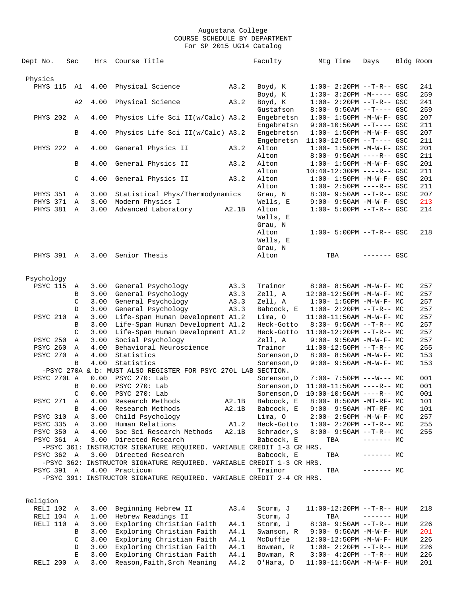| Dept No.                           | Sec         | Hrs          | Course Title                                                          |       | Faculty              | Mtg Time                                                       | Days           | Bldg Room  |
|------------------------------------|-------------|--------------|-----------------------------------------------------------------------|-------|----------------------|----------------------------------------------------------------|----------------|------------|
|                                    |             |              |                                                                       |       |                      |                                                                |                |            |
| Physics                            |             |              |                                                                       |       |                      |                                                                |                |            |
| <b>PHYS 115</b>                    | A1          | 4.00         | Physical Science                                                      | A3.2  | Boyd, K              | $1:00 - 2:20PM -T-R--GSC$                                      |                | 241        |
|                                    |             |              |                                                                       |       | Boyd, K              | $1:30-3:20PM -M---GSC$                                         |                | 259        |
|                                    | A2          | 4.00         | Physical Science                                                      | A3.2  | Boyd, K<br>Gustafson | $1:00-2:20PM -T-R--GSC$                                        |                | 241        |
| PHYS 202                           | $\mathbb A$ | 4.00         | Physics Life Sci II(w/Calc) A3.2                                      |       | Engebretsn           | $8:00 - 9:50AM -T---$ GSC<br>$1:00 - 1:50PM - M - W - F - GSC$ |                | 259<br>207 |
|                                    |             |              |                                                                       |       | Engebretsn           | $9:00-10:50AM$ --T---- GSC                                     |                | 211        |
|                                    | B           | 4.00         | Physics Life Sci II(w/Calc) A3.2                                      |       | Engebretsn           | $1:00 - 1:50PM -M-W-F - GSC$                                   |                | 207        |
|                                    |             |              |                                                                       |       | Engebretsn           | $11:00-12:50PM$ --T---- GSC                                    |                | 211        |
| <b>PHYS 222</b>                    | A           | 4.00         | General Physics II                                                    | A3.2  | Alton                | $1:00 - 1:50PM - M - W - F - GSC$                              |                | 201        |
|                                    |             |              |                                                                       |       | Alton                | $8:00 - 9:50AM$ ----R-- GSC                                    |                | 211        |
|                                    | B           | 4.00         | General Physics II                                                    | A3.2  | Alton                | $1:00 - 1:50PM - M - W - F - GSC$                              |                | 201        |
|                                    |             |              |                                                                       |       | Alton                | $10:40-12:30PM$ ----R-- GSC                                    |                | 211        |
|                                    | $\mathsf C$ | 4.00         | General Physics II                                                    | A3.2  | Alton                | $1:00 - 1:50PM -M-W-F - GSC$                                   |                | 201        |
|                                    |             |              |                                                                       |       | Alton                | $1:00 - 2:50PM$ ----R-- GSC                                    |                | 211        |
| <b>PHYS 351</b>                    | Α           | 3.00         | Statistical Phys/Thermodynamics                                       |       | Grau, N              | $8:30 - 9:50AM -T-R--GSC$                                      |                | 207        |
| PHYS 371                           | A           | 3.00         | Modern Physics I                                                      |       | Wells, E             | $9:00 - 9:50AM - M-W-F - GSC$                                  |                | 213        |
| PHYS 381 A                         |             | 3.00         | Advanced Laboratory                                                   | A2.1B | Alton                | $1:00 - 5:00PM -T-R--GSC$                                      |                | 214        |
|                                    |             |              |                                                                       |       | Wells, E             |                                                                |                |            |
|                                    |             |              |                                                                       |       | Grau, N              |                                                                |                |            |
|                                    |             |              |                                                                       |       | Alton<br>Wells, E    | $1:00-5:00PM$ --T-R-- GSC                                      |                | 218        |
|                                    |             |              |                                                                       |       | Grau, N              |                                                                |                |            |
| PHYS 391 A                         |             | 3.00         | Senior Thesis                                                         |       | Alton                | TBA                                                            | $------$ GSC   |            |
|                                    |             |              |                                                                       |       |                      |                                                                |                |            |
|                                    |             |              |                                                                       |       |                      |                                                                |                |            |
| Psychology                         |             |              |                                                                       |       |                      |                                                                |                |            |
| <b>PSYC 115</b>                    | Α           | 3.00         | General Psychology                                                    | A3.3  | Trainor              | 8:00- 8:50AM -M-W-F- MC                                        |                | 257        |
|                                    | B           | 3.00         | General Psychology                                                    | A3.3  | Zell, A              | 12:00-12:50PM -M-W-F- MC                                       |                | 257        |
|                                    | C           | 3.00         | General Psychology                                                    | A3.3  | Zell, A              | $1:00 - 1:50PM - M - W - F - MC$                               |                | 257        |
|                                    | D           | 3.00         | General Psychology                                                    | A3.3  | Babcock, E           | $1:00-2:20PM -T-R--MC$                                         |                | 257        |
| <b>PSYC 210</b>                    | Α           | 3.00         | Life-Span Human Development A1.2                                      |       | Lima, O              | 11:00-11:50AM -M-W-F- MC                                       |                | 257        |
|                                    | B           | 3.00         | Life-Span Human Development A1.2                                      |       | Heck-Gotto           | $8:30 - 9:50AM -T-R-- MC$                                      |                | 257        |
|                                    | C           | 3.00         | Life-Span Human Development A1.2                                      |       | Heck-Gotto           | $11:00-12:20PM$ --T-R-- MC                                     |                | 257        |
| <b>PSYC 250</b><br><b>PSYC 260</b> | Α<br>Α      | 3.00<br>4.00 | Social Psychology<br>Behavioral Neuroscience                          |       | Zell, A<br>Trainor   | $9:00 - 9:50AM - M-W-F - MC$                                   |                | 257<br>255 |
| PSYC 270                           | Α           | 4.00         | Statistics                                                            |       | Sorenson, D          | $11:00-12:50PM$ --T-R-- MC<br>$8:00 - 8:50AM - M - W - F - MC$ |                | 153        |
|                                    | B           | 4.00         | Statistics                                                            |       | Sorenson, D          | 9:00- 9:50AM -M-W-F- MC                                        |                | 153        |
|                                    |             |              | -PSYC 270A & b: MUST ALSO REGISTER FOR PSYC 270L LAB SECTION.         |       |                      |                                                                |                |            |
| PSYC 270L A                        |             | 0.00         | PSYC 270: Lab                                                         |       | Sorenson, D          | $7:00 - 7:50PM$ ---W--- MC                                     |                | 001        |
|                                    | B           | 0.00         | PSYC 270: Lab                                                         |       | Sorenson, D          | $11:00-11:50AM$ ----R-- MC                                     |                | 001        |
|                                    | C           | 0.00         | PSYC 270: Lab                                                         |       | Sorenson, D          | $10:00-10:50AM$ ----R-- MC                                     |                | 001        |
| PSYC 271                           | A           | 4.00         | Research Methods                                                      | A2.1B | Babcock, E           | 8:00- 8:50AM -MT-RF- MC                                        |                | 101        |
|                                    | В           | 4.00         | Research Methods                                                      | A2.1B | Babcock, E           | 9:00- 9:50AM -MT-RF- MC                                        |                | 101        |
| PSYC 310                           | Α           | 3.00         | Child Psychology                                                      |       | Lima, 0              | 2:00- 2:50PM -M-W-F- MC                                        |                | 257        |
| <b>PSYC 335</b>                    | Α           | 3.00         | Human Relations                                                       | A1.2  | Heck-Gotto           | $1:00-2:20PM -T-R--MC$                                         |                | 255        |
| <b>PSYC 350</b>                    | A           | 4.00         | Soc Sci Research Methods                                              | A2.1B | Schrader, S          | $8:00 - 9:50AM -T-R-- MC$                                      |                | 255        |
| PSYC 361 A                         |             | 3.00         | Directed Research                                                     |       | Babcock, E           | TBA                                                            | $--- - - -$ MC |            |
|                                    |             |              | -PSYC 361: INSTRUCTOR SIGNATURE REQUIRED. VARIABLE CREDIT 1-3 CR HRS. |       |                      |                                                                |                |            |
| PSYC 362                           | A           | 3.00         | Directed Research                                                     |       | Babcock, E           | TBA                                                            | $-----MC$      |            |
|                                    |             |              | -PSYC 362: INSTRUCTOR SIGNATURE REQUIRED. VARIABLE CREDIT 1-3 CR HRS. |       |                      |                                                                |                |            |
| PSYC 391 A                         |             |              | 4.00 Practicum                                                        |       | Trainor              | TBA                                                            | $------$ MC    |            |
|                                    |             |              | -PSYC 391: INSTRUCTOR SIGNATURE REQUIRED. VARIABLE CREDIT 2-4 CR HRS. |       |                      |                                                                |                |            |
|                                    |             |              |                                                                       |       |                      |                                                                |                |            |
| Religion                           |             |              |                                                                       |       |                      |                                                                |                |            |
| RELI 102                           | Α           | 3.00         | Beginning Hebrew II                                                   | A3.4  | Storm, J             | $11:00-12:20PM$ --T-R-- HUM                                    |                | 218        |
| RELI 104                           | A           | 1.00         | Hebrew Readings II                                                    |       | Storm, J             | TBA                                                            | $------$ HUM   |            |
| RELI 110                           | Α           | 3.00         | Exploring Christian Faith                                             | A4.1  | Storm, J             | 8:30- 9:50AM --T-R-- HUM                                       |                | 226        |
|                                    | В           | 3.00         | Exploring Christian Faith                                             | A4.1  | Swanson, R           | $9:00 - 9:50AM - M - W - F - HUM$                              |                | 201        |

 C 3.00 Exploring Christian Faith A4.1 McDuffie 12:00-12:50PM -M-W-F- HUM 226 D 3.00 Exploring Christian Faith A4.1 Bowman, R 1:00- 2:20PM --T-R-- HUM 226 E 3.00 Exploring Christian Faith A4.1 Bowman, R 3:00- 4:20PM --T-R-- HUM 226 RELI 200 A 3.00 Reason,Faith,Srch Meaning A4.2 O'Hara, D 11:00-11:50AM -M-W-F- HUM 201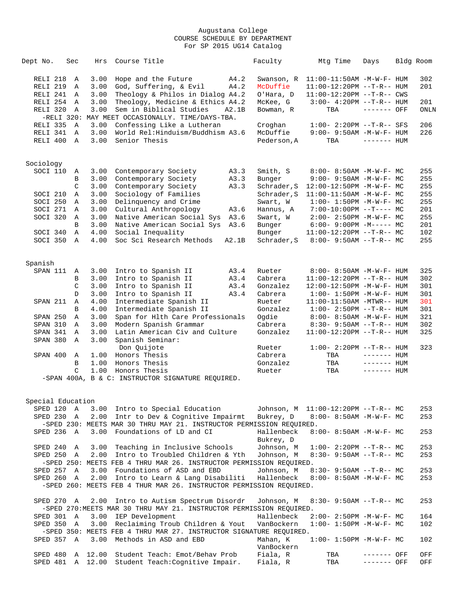| Dept No.          | Sec          | Hrs     | Course Title                                                         |       | Faculty                 | Mtg Time                          | Days         | Bldg Room |
|-------------------|--------------|---------|----------------------------------------------------------------------|-------|-------------------------|-----------------------------------|--------------|-----------|
| RELI 218          | A            | 3.00    | Hope and the Future                                                  | A4.2  | Swanson, R              | $11:00-11:50AM$ -M-W-F- HUM       |              | 302       |
| RELI 219          | Α            | 3.00    | God, Suffering, & Evil                                               | A4.2  | McDuffie                | 11:00-12:20PM --T-R-- HUM         |              | 201       |
| RELI 241          | Α            | 3.00    | Theology & Philos in Dialog A4.2                                     |       | O'Hara, D               | 11:00-12:20PM --T-R-- CWS         |              |           |
| RELI 254          | A            | 3.00    | Theology, Medicine & Ethics A4.2                                     |       | McKee, G                | $3:00-4:20PM -T-R--HUM$           |              | 201       |
| RELI 320          | Α            | 3.00    | Sem in Biblical Studies                                              | A2.1B | Bowman, R               | TBA                               | $-----$ OFF  | ONLN      |
|                   |              |         | -RELI 320: MAY MEET OCCASIONALLY. TIME/DAYS-TBA.                     |       |                         |                                   |              |           |
| RELI 335          | $\mathbb{A}$ | 3.00    | Confessing Like a Lutheran                                           |       | Croghan                 | $1:00 - 2:20PM -T-R-- SFS$        |              | 206       |
| RELI 341          | $\mathbb{A}$ | 3.00    | World Rel: Hinduism/Buddhism A3.6                                    |       | McDuffie                | $9:00 - 9:50AM - M - W - F - HUM$ |              | 226       |
| RELI 400          | Α            | 3.00    | Senior Thesis                                                        |       | Pederson, A             | TBA                               | $------$ HUM |           |
|                   |              |         |                                                                      |       |                         |                                   |              |           |
| Sociology         |              |         |                                                                      |       |                         |                                   |              |           |
| SOCI 110          | Α            | 3.00    | Contemporary Society                                                 | A3.3  | Smith, S                | $8:00 - 8:50AM - M - W - F - MC$  |              | 255       |
|                   | $\, {\bf B}$ | 3.00    | Contemporary Society                                                 | A3.3  | Bunger                  | $9:00 - 9:50AM - M - W - F - MC$  |              | 255       |
|                   | C            | 3.00    | Contemporary Society                                                 | A3.3  | Schrader, S             | $12:00-12:50PM -M-W-F-MC$         |              | 255       |
| SOCI 210          | Α            | 3.00    | Sociology of Families                                                |       | Schrader, S             | $11:00-11:50AM$ -M-W-F- MC        |              | 255       |
| SOCI 250          | Α            | 3.00    | Delinquency and Crime                                                |       | Swart, W                | $1:00 - 1:50PM - M - W - F - MC$  |              | 255       |
| SOCI 271          | A            | 3.00    | Cultural Anthropology                                                | A3.6  | Hannus, A               | $7:00-10:00PM$ --T---- MC         |              | 201       |
| SOCI 320          | Α            | 3.00    | Native American Social Sys                                           | A3.6  | Swart, W                | $2:00 - 2:50PM -M-W-F - MC$       |              | 255       |
|                   | B            | 3.00    | Native American Social Sys                                           | A3.6  | Bunger                  | $6:00-9:00PM -M--- MC$            |              | 201       |
| SOCI 340          | A            | 4.00    | Social Inequality                                                    |       | Bunger                  | $11:00-12:20PM$ --T-R-- MC        |              | 102       |
| SOCI 350          | Α            | 4.00    | Soc Sci Research Methods                                             | A2.1B | Schrader, S             | $8:00-9:50AM --T-R--MC$           |              | 255       |
| Spanish           |              |         |                                                                      |       |                         |                                   |              |           |
| SPAN 111          | Α            | 3.00    | Intro to Spanish II                                                  | A3.4  | Rueter                  | 8:00- 8:50AM -M-W-F- HUM          |              | 325       |
|                   | B            | 3.00    | Intro to Spanish II                                                  | A3.4  | Cabrera                 | $11:00-12:20PM$ --T-R-- HUM       |              | 302       |
|                   | C            | 3.00    | Intro to Spanish II                                                  | A3.4  | Gonzalez                | 12:00-12:50PM -M-W-F- HUM         |              | 301       |
|                   | D            | 3.00    | Intro to Spanish II                                                  | A3.4  | Cabrera                 | $1:00 - 1:50PM - M - W - F - HUM$ |              | 301       |
| SPAN 211          | Α            | 4.00    | Intermediate Spanish II                                              |       | Rueter                  | $11:00-11:50AM - MTWR-- HUM$      |              | 301       |
|                   | B            | 4.00    | Intermediate Spanish II                                              |       | Gonzalez                | $1:00 - 2:50PM -T-R--HUM$         |              | 301       |
| SPAN 250          | Α            | 3.00    | Span for Hlth Care Professionals                                     |       | Ogdie                   | 8:00- 8:50AM -M-W-F- HUM          |              | 321       |
| SPAN 310          | Α            | 3.00    | Modern Spanish Grammar                                               |       | Cabrera                 | $8:30 - 9:50AM -T-R-- HUM$        |              | 302       |
| SPAN 341          | $\mathbb A$  | 3.00    | Latin American Civ and Culture                                       |       | Gonzalez                | $11:00-12:20PM$ --T-R-- HUM       |              | 325       |
| SPAN 380          | $\mathbb A$  | 3.00    | Spanish Seminar:                                                     |       |                         |                                   |              |           |
|                   |              |         | Don Quijote                                                          |       | Rueter                  | $1:00 - 2:20PM -T-R--HUM$         |              | 323       |
| SPAN 400          | A            | 1.00    | Honors Thesis                                                        |       | Cabrera                 | TBA                               | ------- HUM  |           |
|                   | B            | 1.00    | Honors Thesis                                                        |       | Gonzalez                | TBA                               | ------- HUM  |           |
|                   | C            | 1.00    | Honors Thesis                                                        |       | Rueter                  | TBA                               | $------$ HUM |           |
|                   |              |         | -SPAN 400A, B & C: INSTRUCTOR SIGNATURE REQUIRED.                    |       |                         |                                   |              |           |
|                   |              |         |                                                                      |       |                         |                                   |              |           |
| Special Education |              |         |                                                                      |       |                         |                                   |              |           |
| SPED 120          | A            | 3.00    | Intro to Special Education                                           |       | Johnson, M              | $11:00-12:20PM$ --T-R-- MC        |              | 253       |
| SPED 230 A        |              | 2.00    | Intr to Dev & Cognitive Impairmt                                     |       | Bukrey, D               | $8:00 - 8:50AM$ -M-W-F- MC        |              | 253       |
|                   |              |         | -SPED 230: MEETS MAR 30 THRU MAY 21. INSTRUCTOR PERMISSION REQUIRED. |       |                         |                                   |              |           |
| SPED 236          | A            | 3.00    | Foundations of LD and CI                                             |       | Hallenbeck<br>Bukrey, D | 8:00- 8:50AM -M-W-F- MC           |              | 253       |
| SPED 240          | Α            | 3.00    | Teaching in Inclusive Schools                                        |       | Johnson, M              | $1:00-2:20PM -T-R--MC$            |              | 253       |
| SPED 250          | A            | 2.00    | Intro to Troubled Children & Yth                                     |       | Johnson, M              | $8:30 - 9:50AM -T-R-- MC$         |              | 253       |
|                   |              |         | -SPED 250: MEETS FEB 4 THRU MAR 26. INSTRUCTOR PERMISSION REQUIRED.  |       |                         |                                   |              |           |
| SPED 257 A        |              | 3.00    | Foundations of ASD and EBD                                           |       | Johnson, M              | $8:30 - 9:50AM -T-R-- MC$         |              | 253       |
| SPED 260 A        |              | 2.00    | Intro to Learn & Lang Disabiliti                                     |       | Hallenbeck              | $8:00 - 8:50AM - M - W - F - MC$  |              | 253       |
|                   |              |         | -SPED 260: MEETS FEB 4 THUR MAR 26. INSTRUCTOR PERMISSION REOUIRED.  |       |                         |                                   |              |           |
| SPED 270 A        |              | 2.00    | Intro to Autism Spectrum Disordr                                     |       | Johnson, M              | $8:30 - 9:50AM -T-R-- MC$         |              | 253       |
|                   |              |         | -SPED 270: MEETS MAR 30 THRU MAY 21. INSTRUCTOR PERMISSION REQUIRED. |       |                         |                                   |              |           |
| SPED 301 A        |              | 3.00    | IEP Development                                                      |       | Hallenbeck              | $2:00 - 2:50PM -M-W-F - MC$       |              | 164       |
| SPED 350          | Α            | 3.00    | Reclaiming Troub Children & Yout                                     |       | VanBockern              | $1:00 - 1:50PM - M - W - F - MC$  |              | 102       |
|                   |              |         | -SPED 350: MEETS FEB 4 THRU MAR 27. INSTRUCTOR SIGNATURE REQUIRED.   |       |                         |                                   |              |           |
| SPED 357 A        |              | 3.00    | Methods in ASD and EBD                                               |       | Mahan, K                | $1:00 - 1:50PM - M - W - F - MC$  |              | 102       |
|                   |              |         |                                                                      |       | VanBockern              |                                   |              |           |
| SPED 480          | Α            | 12.00   | Student Teach: Emot/Behav Prob                                       |       | Fiala, R                | TBA                               | ------- OFF  | OFF       |
| SPED 481          |              | A 12.00 | Student Teach: Cognitive Impair.                                     |       | Fiala, R                | TBA                               | ------- OFF  | OFF       |